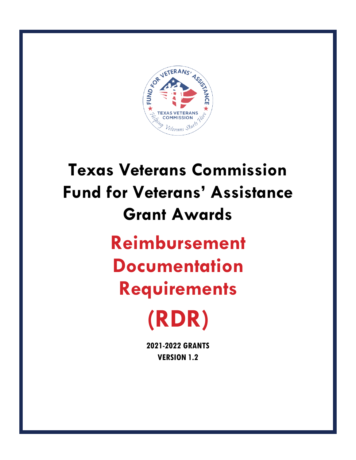

# **Texas Veterans Commission Fund for Veterans' Assistance Grant Awards Reimbursement Documentation Requirements (RDR)**

**2021-2022 GRANTS VERSION 1.2**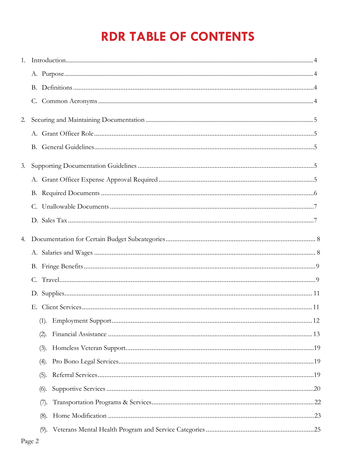### **RDR TABLE OF CONTENTS**

|    | Introduction 4 |  |
|----|----------------|--|
|    |                |  |
|    | В.             |  |
|    |                |  |
| 2. |                |  |
|    |                |  |
|    |                |  |
| 3. |                |  |
|    |                |  |
|    |                |  |
|    | C.             |  |
|    |                |  |
|    |                |  |
|    |                |  |
|    |                |  |
|    |                |  |
|    |                |  |
|    |                |  |
|    | (1).           |  |
|    | (2).           |  |
|    | (3).           |  |
|    | (4).           |  |
|    | (5).           |  |
|    | (6).           |  |
|    | (7).           |  |
|    | (8).           |  |
|    |                |  |
|    |                |  |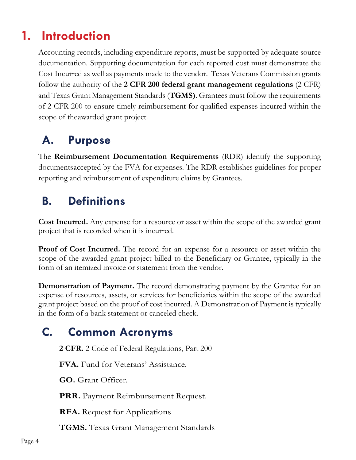### <span id="page-3-0"></span>**1. Introduction**

Accounting records, including expenditure reports, must be supported by adequate source documentation. Supporting documentation for each reported cost must demonstrate the Cost Incurred as well as payments made to the vendor. Texas Veterans Commission grants follow the authority of the **2 CFR 200 federal grant management regulations** (2 CFR) and Texas Grant Management Standards (**TGMS)**. Grantees must follow the requirements of 2 CFR 200 to ensure timely reimbursement for qualified expenses incurred within the scope of theawarded grant project.

### **A. Purpose**

The **Reimbursement Documentation Requirements** (RDR) identify the supporting documentsaccepted by the FVA for expenses. The RDR establishes guidelines for proper reporting and reimbursement of expenditure claims by Grantees.

### **B. Definitions**

**Cost Incurred.** Any expense for a resource or asset within the scope of the awarded grant project that is recorded when it is incurred.

**Proof of Cost Incurred.** The record for an expense for a resource or asset within the scope of the awarded grant project billed to the Beneficiary or Grantee, typically in the form of an itemized invoice or statement from the vendor.

**Demonstration of Payment.** The record demonstrating payment by the Grantee for an expense of resources, assets, or services for beneficiaries within the scope of the awarded grant project based on the proof of cost incurred. A Demonstration of Payment is typically in the form of a bank statement or canceled check.

### **C. Common Acronyms**

**2 CFR.** 2 Code of Federal Regulations, Part 200

**FVA.** Fund for Veterans' Assistance.

**GO.** Grant Officer.

**PRR.** Payment Reimbursement Request.

**RFA.** Request for Applications

**TGMS.** Texas Grant Management Standards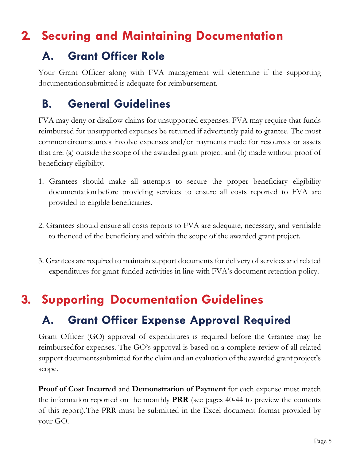### <span id="page-4-0"></span>**2. Securing and Maintaining Documentation**

### **A. Grant Officer Role**

Your Grant Officer along with FVA management will determine if the supporting documentationsubmitted is adequate for reimbursement.

### **B. General Guidelines**

FVA may deny or disallow claims for unsupported expenses. FVA may require that funds reimbursed for unsupported expenses be returned if advertently paid to grantee. The most commoncircumstances involve expenses and/or payments made for resources or assets that are: (a) outside the scope of the awarded grant project and (b) made without proof of beneficiary eligibility.

- 1. Grantees should make all attempts to secure the proper beneficiary eligibility documentation before providing services to ensure all costs reported to FVA are provided to eligible beneficiaries.
- 2. Grantees should ensure all costs reports to FVA are adequate, necessary, and verifiable to theneed of the beneficiary and within the scope of the awarded grant project.
- <span id="page-4-1"></span>3. Grantees are required to maintain support documents for delivery of services and related expenditures for grant-funded activities in line with FVA's document retention policy.

### **3. Supporting Documentation Guidelines**

### **A. Grant Officer Expense Approval Required**

Grant Officer (GO) approval of expenditures is required before the Grantee may be reimbursedfor expenses. The GO's approval is based on a complete review of all related support documentssubmitted for the claim and an evaluation of the awarded grant project's scope.

**Proof of Cost Incurred** and **Demonstration of Payment** for each expense must match the information reported on the monthly **PRR** (see pages 40-44 to preview the contents of this report).The PRR must be submitted in the Excel document format provided by your GO.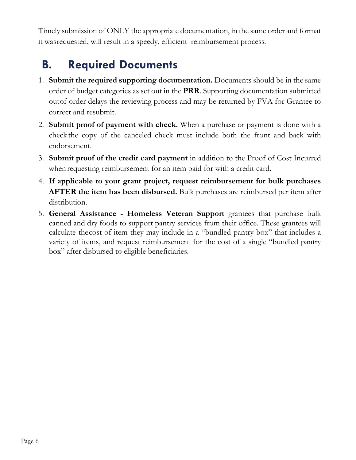Timely submission of ONLY the appropriate documentation, in the same order and format it wasrequested, will result in a speedy, efficient reimbursement process.

### **B. Required Documents**

- 1. **Submit the required supporting documentation.** Documents should be in the same order of budget categories as set out in the **PRR**. Supporting documentation submitted outof order delays the reviewing process and may be returned by FVA for Grantee to correct and resubmit.
- 2. **Submit proof of payment with check.** When a purchase or payment is done with a check the copy of the canceled check must include both the front and back with endorsement.
- 3. **Submit proof of the credit card payment** in addition to the Proof of Cost Incurred when requesting reimbursement for an item paid for with a credit card.
- 4. **If applicable to your grant project, request reimbursement for bulk purchases AFTER the item has been disbursed.** Bulk purchases are reimbursed per item after distribution.
- 5. **General Assistance - Homeless Veteran Support** grantees that purchase bulk canned and dry foods to support pantry services from their office. These grantees will calculate thecost of item they may include in a "bundled pantry box" that includes a variety of items, and request reimbursement for the cost of a single "bundled pantry box" after disbursed to eligible beneficiaries.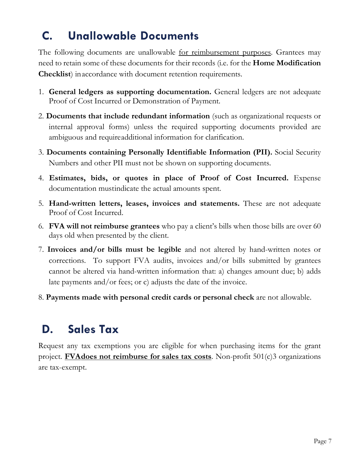### <span id="page-6-0"></span>**C. Unallowable Documents**

The following documents are unallowable <u>for reimbursement purposes</u>. Grantees may need to retain some of these documents for their records (i.e. for the **Home Modification Checklist**) inaccordance with document retention requirements.

- 1. **General ledgers as supporting documentation.** General ledgers are not adequate Proof of Cost Incurred or Demonstration of Payment.
- 2. **Documents that include redundant information** (such as organizational requests or internal approval forms) unless the required supporting documents provided are ambiguous and requireadditional information for clarification.
- 3. **Documents containing Personally Identifiable Information (PII).** Social Security Numbers and other PII must not be shown on supporting documents.
- 4. **Estimates, bids, or quotes in place of Proof of Cost Incurred.** Expense documentation mustindicate the actual amounts spent.
- 5. **Hand-written letters, leases, invoices and statements.** These are not adequate Proof of Cost Incurred.
- 6. **FVA will not reimburse grantees** who pay a client's bills when those bills are over 60 days old when presented by the client.
- 7. **Invoices and/or bills must be legible** and not altered by hand-written notes or corrections. To support FVA audits, invoices and/or bills submitted by grantees cannot be altered via hand-written information that: a) changes amount due; b) adds late payments and/or fees; or c) adjusts the date of the invoice.
- 8. **Payments made with personal credit cards or personal check** are not allowable.

### **D. Sales Tax**

Request any tax exemptions you are eligible for when purchasing items for the grant project. **FVAdoes not reimburse for sales tax costs**. Non-profit 501(c)3 organizations are tax-exempt.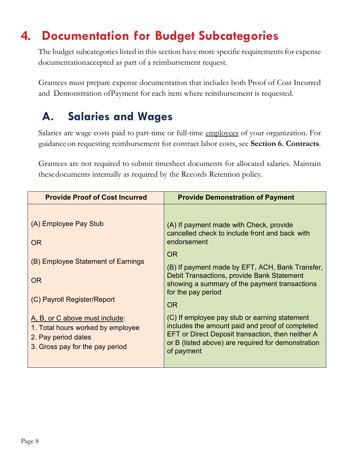### <span id="page-7-0"></span>**4. Documentation for Budget Subcategories**

The budget subcategories listed in this section have more specific requirements for expense documentationaccepted as part of a reimbursement request.

Grantees must prepare expense documentation that includes both Proof of Cost Incurred and Demonstration ofPayment for each item where reimbursement is requested.

### **A. Salaries and Wages**

Salaries are wage costs paid to part-time or full-time employees of your organization. For guidance on requesting reimbursement for contract labor costs, see **Section 6. Contracts**.

Grantees are not required to submit timesheet documents for allocated salaries. Maintain thesedocuments internally as required by the Records Retention policy.

| <b>Provide Proof of Cost Incurred</b>                                                                                         | <b>Provide Demonstration of Payment</b>                                                                                                                                                                                                                                                                    |
|-------------------------------------------------------------------------------------------------------------------------------|------------------------------------------------------------------------------------------------------------------------------------------------------------------------------------------------------------------------------------------------------------------------------------------------------------|
| (A) Employee Pay Stub<br>OR<br>(B) Employee Statement of Earnings<br><b>OR</b><br>(C) Payroll Register/Report                 | (A) If payment made with Check, provide<br>cancelled check to include front and back with<br>endorsement<br><b>OR</b><br>(B) If payment made by EFT, ACH, Bank Transfer,<br>Debit Transactions, provide Bank Statement<br>showing a summary of the payment transactions<br>for the pay period<br><b>OR</b> |
| A, B, or C above must include:<br>1. Total hours worked by employee<br>2. Pay period dates<br>3. Gross pay for the pay period | (C) If employee pay stub or earning statement<br>includes the amount paid and proof of completed<br>EFT or Direct Deposit transaction, then neither A<br>or B (listed above) are required for demonstration<br>of payment                                                                                  |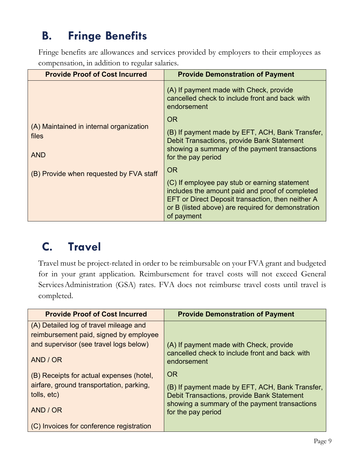### **B. Fringe Benefits**

Fringe benefits are allowances and services provided by employers to their employees as compensation, in addition to regular salaries.

| <b>Provide Proof of Cost Incurred</b>                          | <b>Provide Demonstration of Payment</b>                                                                                                                                                                                   |
|----------------------------------------------------------------|---------------------------------------------------------------------------------------------------------------------------------------------------------------------------------------------------------------------------|
|                                                                | (A) If payment made with Check, provide<br>cancelled check to include front and back with<br>endorsement                                                                                                                  |
|                                                                | <b>OR</b>                                                                                                                                                                                                                 |
| (A) Maintained in internal organization<br>files<br><b>AND</b> | (B) If payment made by EFT, ACH, Bank Transfer,<br>Debit Transactions, provide Bank Statement<br>showing a summary of the payment transactions<br>for the pay period                                                      |
| (B) Provide when requested by FVA staff                        | <b>OR</b>                                                                                                                                                                                                                 |
|                                                                | (C) If employee pay stub or earning statement<br>includes the amount paid and proof of completed<br>EFT or Direct Deposit transaction, then neither A<br>or B (listed above) are required for demonstration<br>of payment |

### **C. Travel**

Travel must be project-related in order to be reimbursable on your FVA grant and budgeted for in your grant application. Reimbursement for travel costs will not exceed General ServicesAdministration (GSA) rates. FVA does not reimburse travel costs until travel is completed.

| <b>Provide Proof of Cost Incurred</b>    | <b>Provide Demonstration of Payment</b>                             |
|------------------------------------------|---------------------------------------------------------------------|
| (A) Detailed log of travel mileage and   |                                                                     |
| reimbursement paid, signed by employee   |                                                                     |
| and supervisor (see travel logs below)   | (A) If payment made with Check, provide                             |
| AND / OR                                 | cancelled check to include front and back with<br>endorsement       |
| (B) Receipts for actual expenses (hotel, | <b>OR</b>                                                           |
| airfare, ground transportation, parking, | (B) If payment made by EFT, ACH, Bank Transfer,                     |
| tolls, etc)                              | <b>Debit Transactions, provide Bank Statement</b>                   |
| AND / OR                                 | showing a summary of the payment transactions<br>for the pay period |
| (C) Invoices for conference registration |                                                                     |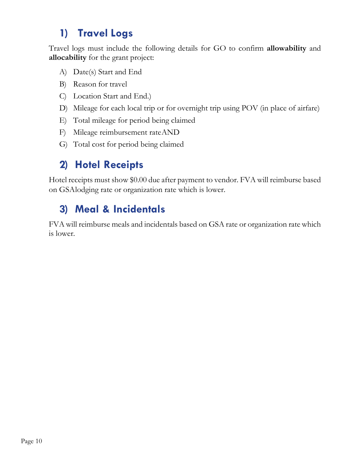### **1) Travel Logs**

Travel logs must include the following details for GO to confirm **allowability** and **allocability** for the grant project:

- A) Date(s) Start and End
- B) Reason for travel
- C) Location Start and End.)
- D) Mileage for each local trip or for overnight trip using POV (in place of airfare)
- E) Total mileage for period being claimed
- F) Mileage reimbursement rateAND
- G) Total cost for period being claimed

### **2) Hotel Receipts**

Hotel receipts must show \$0.00 due after payment to vendor. FVA will reimburse based on GSAlodging rate or organization rate which is lower.

### **3) Meal & Incidentals**

FVA will reimburse meals and incidentals based on GSA rate or organization rate which is lower.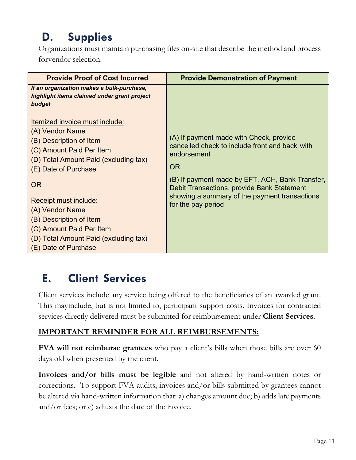### <span id="page-10-0"></span>**D. Supplies**

Organizations must maintain purchasing files on-site that describe the method and process forvendor selection.

| <b>Provide Proof of Cost Incurred</b>                                                                                                                                                                                                                                                                                                                                    | <b>Provide Demonstration of Payment</b>                                                                                                                                                                                                                                                       |
|--------------------------------------------------------------------------------------------------------------------------------------------------------------------------------------------------------------------------------------------------------------------------------------------------------------------------------------------------------------------------|-----------------------------------------------------------------------------------------------------------------------------------------------------------------------------------------------------------------------------------------------------------------------------------------------|
| If an organization makes a bulk-purchase,<br>highlight items claimed under grant project<br>budget                                                                                                                                                                                                                                                                       |                                                                                                                                                                                                                                                                                               |
| <u>Itemized invoice must include:</u><br>(A) Vendor Name<br>(B) Description of Item<br>(C) Amount Paid Per Item<br>(D) Total Amount Paid (excluding tax)<br>(E) Date of Purchase<br><b>OR</b><br><b>Receipt must include:</b><br>(A) Vendor Name<br>(B) Description of Item<br>(C) Amount Paid Per Item<br>(D) Total Amount Paid (excluding tax)<br>(E) Date of Purchase | (A) If payment made with Check, provide<br>cancelled check to include front and back with<br>endorsement<br><b>OR</b><br>(B) If payment made by EFT, ACH, Bank Transfer,<br>Debit Transactions, provide Bank Statement<br>showing a summary of the payment transactions<br>for the pay period |

### <span id="page-10-1"></span>**E. Client Services**

Client services include any service being offered to the beneficiaries of an awarded grant. This mayinclude, but is not limited to, participant support costs. Invoices for contracted services directly delivered must be submitted for reimbursement under **Client Services**.

#### **IMPORTANT REMINDER FOR ALL REIMBURSEMENTS:**

**FVA will not reimburse grantees** who pay a client's bills when those bills are over 60 days old when presented by the client.

**Invoices and/or bills must be legible** and not altered by hand-written notes or corrections. To support FVA audits, invoices and/or bills submitted by grantees cannot be altered via hand-written information that: a) changes amount due; b) adds late payments and/or fees; or c) adjusts the date of the invoice.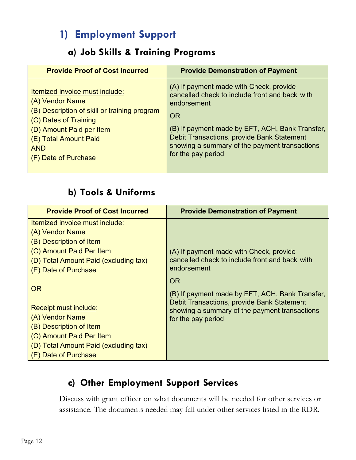### **1) Employment Support**

#### **a) Job Skills & Training Programs**

| <b>Provide Proof of Cost Incurred</b>        | <b>Provide Demonstration of Payment</b>           |
|----------------------------------------------|---------------------------------------------------|
| Itemized invoice must include:               | (A) If payment made with Check, provide           |
| (A) Vendor Name                              | cancelled check to include front and back with    |
| (B) Description of skill or training program | endorsement                                       |
| (C) Dates of Training                        | <b>OR</b>                                         |
| (D) Amount Paid per Item                     | (B) If payment made by EFT, ACH, Bank Transfer,   |
| (E) Total Amount Paid                        | <b>Debit Transactions, provide Bank Statement</b> |
| <b>AND</b>                                   | showing a summary of the payment transactions     |
| (F) Date of Purchase                         | for the pay period                                |

#### **b) Tools & Uniforms**

| <b>Provide Proof of Cost Incurred</b>                                                                                                                                                | <b>Provide Demonstration of Payment</b>                                                                                                                                           |
|--------------------------------------------------------------------------------------------------------------------------------------------------------------------------------------|-----------------------------------------------------------------------------------------------------------------------------------------------------------------------------------|
| Itemized invoice must include:                                                                                                                                                       |                                                                                                                                                                                   |
| (A) Vendor Name                                                                                                                                                                      |                                                                                                                                                                                   |
| (B) Description of Item                                                                                                                                                              |                                                                                                                                                                                   |
| (C) Amount Paid Per Item                                                                                                                                                             | (A) If payment made with Check, provide                                                                                                                                           |
| (D) Total Amount Paid (excluding tax)                                                                                                                                                | cancelled check to include front and back with                                                                                                                                    |
| (E) Date of Purchase                                                                                                                                                                 | endorsement                                                                                                                                                                       |
| <b>OR</b><br><b>Receipt must include:</b><br>(A) Vendor Name<br>(B) Description of Item<br>(C) Amount Paid Per Item<br>(D) Total Amount Paid (excluding tax)<br>(E) Date of Purchase | <b>OR</b><br>(B) If payment made by EFT, ACH, Bank Transfer,<br>Debit Transactions, provide Bank Statement<br>showing a summary of the payment transactions<br>for the pay period |

#### **c) Other Employment Support Services**

<span id="page-11-0"></span>Discuss with grant officer on what documents will be needed for other services or assistance. The documents needed may fall under other services listed in the RDR.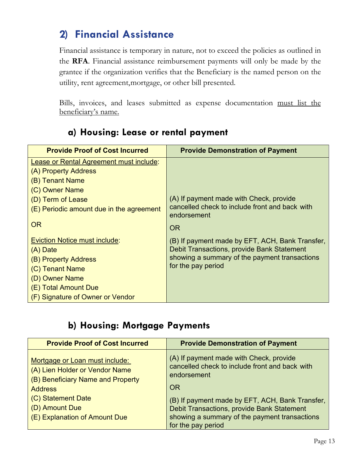#### **2) Financial Assistance**

Financial assistance is temporary in nature, not to exceed the policies as outlined in the **RFA**. Financial assistance reimbursement payments will only be made by the grantee if the organization verifies that the Beneficiary is the named person on the utility, rent agreement,mortgage, or other bill presented.

Bills, invoices, and leases submitted as expense documentation must list the beneficiary's name.

| <b>Provide Proof of Cost Incurred</b>          | <b>Provide Demonstration of Payment</b>                       |
|------------------------------------------------|---------------------------------------------------------------|
| <b>Lease or Rental Agreement must include:</b> |                                                               |
| (A) Property Address                           |                                                               |
| (B) Tenant Name                                |                                                               |
| (C) Owner Name                                 |                                                               |
| (D) Term of Lease                              | (A) If payment made with Check, provide                       |
| (E) Periodic amount due in the agreement       | cancelled check to include front and back with<br>endorsement |
| <b>OR</b>                                      | <b>OR</b>                                                     |
| <b>Eviction Notice must include:</b>           | (B) If payment made by EFT, ACH, Bank Transfer,               |
| $(A)$ Date                                     | Debit Transactions, provide Bank Statement                    |
| (B) Property Address                           | showing a summary of the payment transactions                 |
| (C) Tenant Name                                | for the pay period                                            |
| (D) Owner Name                                 |                                                               |
| (E) Total Amount Due                           |                                                               |
| (F) Signature of Owner or Vendor               |                                                               |

#### **a) Housing: Lease or rental payment**

#### **b) Housing: Mortgage Payments**

| <b>Provide Proof of Cost Incurred</b>                                                                 | <b>Provide Demonstration of Payment</b>                                                                  |
|-------------------------------------------------------------------------------------------------------|----------------------------------------------------------------------------------------------------------|
| Mortgage or Loan must include:<br>(A) Lien Holder or Vendor Name<br>(B) Beneficiary Name and Property | (A) If payment made with Check, provide<br>cancelled check to include front and back with<br>endorsement |
| <b>Address</b>                                                                                        | <b>OR</b>                                                                                                |
| (C) Statement Date                                                                                    | (B) If payment made by EFT, ACH, Bank Transfer,                                                          |
| (D) Amount Due                                                                                        | Debit Transactions, provide Bank Statement                                                               |
| (E) Explanation of Amount Due                                                                         | showing a summary of the payment transactions<br>for the pay period                                      |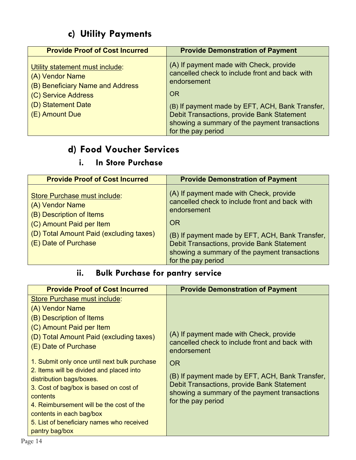#### **c) Utility Payments**

| <b>Provide Proof of Cost Incurred</b>                                                                                                                 | <b>Provide Demonstration of Payment</b>                                                                                                                                                                                                                                                       |
|-------------------------------------------------------------------------------------------------------------------------------------------------------|-----------------------------------------------------------------------------------------------------------------------------------------------------------------------------------------------------------------------------------------------------------------------------------------------|
| Utility statement must include:<br>(A) Vendor Name<br>(B) Beneficiary Name and Address<br>(C) Service Address<br>(D) Statement Date<br>(E) Amount Due | (A) If payment made with Check, provide<br>cancelled check to include front and back with<br>endorsement<br><b>OR</b><br>(B) If payment made by EFT, ACH, Bank Transfer,<br>Debit Transactions, provide Bank Statement<br>showing a summary of the payment transactions<br>for the pay period |

#### **d) Food Voucher Services**

#### **i. In Store Purchase**

| <b>Provide Proof of Cost Incurred</b>                                                                                                                                      | <b>Provide Demonstration of Payment</b>                                                                                                                                                                                                                                                       |
|----------------------------------------------------------------------------------------------------------------------------------------------------------------------------|-----------------------------------------------------------------------------------------------------------------------------------------------------------------------------------------------------------------------------------------------------------------------------------------------|
| Store Purchase must include:<br>(A) Vendor Name<br>(B) Description of Items<br>(C) Amount Paid per Item<br>(D) Total Amount Paid (excluding taxes)<br>(E) Date of Purchase | (A) If payment made with Check, provide<br>cancelled check to include front and back with<br>endorsement<br><b>OR</b><br>(B) If payment made by EFT, ACH, Bank Transfer,<br>Debit Transactions, provide Bank Statement<br>showing a summary of the payment transactions<br>for the pay period |

#### **ii. Bulk Purchase for pantry service**

| <b>Provide Proof of Cost Incurred</b>                                                                                                                                                                                                                                                                                                                                                                                                                                                                  | <b>Provide Demonstration of Payment</b>                                                                                                                                                                                                                                                       |
|--------------------------------------------------------------------------------------------------------------------------------------------------------------------------------------------------------------------------------------------------------------------------------------------------------------------------------------------------------------------------------------------------------------------------------------------------------------------------------------------------------|-----------------------------------------------------------------------------------------------------------------------------------------------------------------------------------------------------------------------------------------------------------------------------------------------|
| <b>Store Purchase must include:</b><br>(A) Vendor Name<br>(B) Description of Items<br>(C) Amount Paid per Item<br>(D) Total Amount Paid (excluding taxes)<br>(E) Date of Purchase<br>1. Submit only once until next bulk purchase<br>2. Items will be divided and placed into<br>distribution bags/boxes.<br>3. Cost of bag/box is based on cost of<br>contents<br>4. Reimbursement will be the cost of the<br>contents in each bag/box<br>5. List of beneficiary names who received<br>pantry bag/box | (A) If payment made with Check, provide<br>cancelled check to include front and back with<br>endorsement<br><b>OR</b><br>(B) If payment made by EFT, ACH, Bank Transfer,<br>Debit Transactions, provide Bank Statement<br>showing a summary of the payment transactions<br>for the pay period |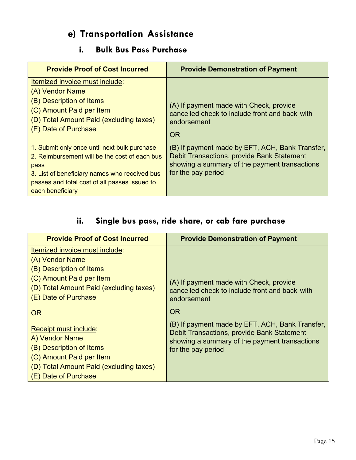#### **e) Transportation Assistance**

#### **i. Bulk Bus Pass Purchase**

| <b>Provide Proof of Cost Incurred</b>                                                                                                                                                                                       | <b>Provide Demonstration of Payment</b>                                                                                                                              |
|-----------------------------------------------------------------------------------------------------------------------------------------------------------------------------------------------------------------------------|----------------------------------------------------------------------------------------------------------------------------------------------------------------------|
| Itemized invoice must include:<br>(A) Vendor Name<br>(B) Description of Items<br>(C) Amount Paid per Item<br>(D) Total Amount Paid (excluding taxes)<br>(E) Date of Purchase                                                | (A) If payment made with Check, provide<br>cancelled check to include front and back with<br>endorsement<br><b>OR</b>                                                |
| 1. Submit only once until next bulk purchase<br>2. Reimbursement will be the cost of each bus<br>pass<br>3. List of beneficiary names who received bus<br>passes and total cost of all passes issued to<br>each beneficiary | (B) If payment made by EFT, ACH, Bank Transfer,<br>Debit Transactions, provide Bank Statement<br>showing a summary of the payment transactions<br>for the pay period |

#### **ii. Single bus pass, ride share, or cab fare purchase**

| <b>Provide Proof of Cost Incurred</b>                                                                                                                                     | <b>Provide Demonstration of Payment</b>                             |
|---------------------------------------------------------------------------------------------------------------------------------------------------------------------------|---------------------------------------------------------------------|
| Itemized invoice must include:                                                                                                                                            |                                                                     |
| (A) Vendor Name                                                                                                                                                           |                                                                     |
| (B) Description of Items                                                                                                                                                  |                                                                     |
| (C) Amount Paid per Item                                                                                                                                                  | (A) If payment made with Check, provide                             |
| (D) Total Amount Paid (excluding taxes)                                                                                                                                   | cancelled check to include front and back with                      |
| (E) Date of Purchase                                                                                                                                                      | endorsement                                                         |
| <b>OR</b>                                                                                                                                                                 | <b>OR</b>                                                           |
|                                                                                                                                                                           | (B) If payment made by EFT, ACH, Bank Transfer,                     |
|                                                                                                                                                                           | Debit Transactions, provide Bank Statement                          |
|                                                                                                                                                                           |                                                                     |
|                                                                                                                                                                           |                                                                     |
|                                                                                                                                                                           |                                                                     |
|                                                                                                                                                                           |                                                                     |
| <b>Receipt must include:</b><br>A) Vendor Name<br>(B) Description of Items<br>(C) Amount Paid per Item<br>(D) Total Amount Paid (excluding taxes)<br>(E) Date of Purchase | showing a summary of the payment transactions<br>for the pay period |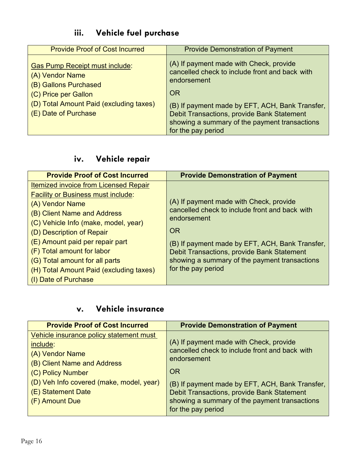#### **iii. Vehicle fuel purchase**

| <b>Provide Proof of Cost Incurred</b>                                                                                                                                        | <b>Provide Demonstration of Payment</b>                                                                                                                                                                                                                                                       |
|------------------------------------------------------------------------------------------------------------------------------------------------------------------------------|-----------------------------------------------------------------------------------------------------------------------------------------------------------------------------------------------------------------------------------------------------------------------------------------------|
| <b>Gas Pump Receipt must include:</b><br>(A) Vendor Name<br>(B) Gallons Purchased<br>(C) Price per Gallon<br>(D) Total Amount Paid (excluding taxes)<br>(E) Date of Purchase | (A) If payment made with Check, provide<br>cancelled check to include front and back with<br>endorsement<br><b>OR</b><br>(B) If payment made by EFT, ACH, Bank Transfer,<br>Debit Transactions, provide Bank Statement<br>showing a summary of the payment transactions<br>for the pay period |

#### **iv. Vehicle repair**

| <b>Provide Proof of Cost Incurred</b>        | <b>Provide Demonstration of Payment</b>                       |
|----------------------------------------------|---------------------------------------------------------------|
| <b>Itemized invoice from Licensed Repair</b> |                                                               |
| <b>Facility or Business must include:</b>    |                                                               |
| (A) Vendor Name                              | (A) If payment made with Check, provide                       |
| (B) Client Name and Address                  | cancelled check to include front and back with<br>endorsement |
| (C) Vehicle Info (make, model, year)         |                                                               |
| (D) Description of Repair                    | <b>OR</b>                                                     |
| (E) Amount paid per repair part              | (B) If payment made by EFT, ACH, Bank Transfer,               |
| (F) Total amount for labor                   | Debit Transactions, provide Bank Statement                    |
| (G) Total amount for all parts               | showing a summary of the payment transactions                 |
| (H) Total Amount Paid (excluding taxes)      | for the pay period                                            |
| (I) Date of Purchase                         |                                                               |

#### **v. Vehicle insurance**

| <b>Provide Proof of Cost Incurred</b>    | <b>Provide Demonstration of Payment</b>         |
|------------------------------------------|-------------------------------------------------|
| Vehicle insurance policy statement must  | (A) If payment made with Check, provide         |
| include:                                 | cancelled check to include front and back with  |
| (A) Vendor Name                          | endorsement                                     |
| (B) Client Name and Address              | <b>OR</b>                                       |
| (C) Policy Number                        | (B) If payment made by EFT, ACH, Bank Transfer, |
| (D) Veh Info covered (make, model, year) | Debit Transactions, provide Bank Statement      |
| (E) Statement Date                       | showing a summary of the payment transactions   |
| (F) Amount Due                           | for the pay period                              |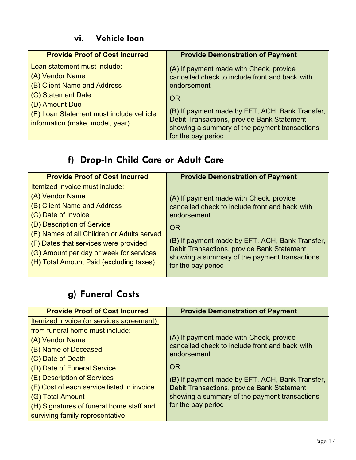#### **vi. Vehicle loan**

| <b>Provide Proof of Cost Incurred</b>                                                                                                                                                                | <b>Provide Demonstration of Payment</b>                                                                                                                                                                                                                                                       |
|------------------------------------------------------------------------------------------------------------------------------------------------------------------------------------------------------|-----------------------------------------------------------------------------------------------------------------------------------------------------------------------------------------------------------------------------------------------------------------------------------------------|
| Loan statement must include:<br>(A) Vendor Name<br>(B) Client Name and Address<br>(C) Statement Date<br>(D) Amount Due<br>(E) Loan Statement must include vehicle<br>information (make, model, year) | (A) If payment made with Check, provide<br>cancelled check to include front and back with<br>endorsement<br><b>OR</b><br>(B) If payment made by EFT, ACH, Bank Transfer,<br>Debit Transactions, provide Bank Statement<br>showing a summary of the payment transactions<br>for the pay period |

#### **f) Drop-In Child Care or Adult Care**

| <b>Provide Proof of Cost Incurred</b>      | <b>Provide Demonstration of Payment</b>                             |
|--------------------------------------------|---------------------------------------------------------------------|
| Itemized invoice must include:             |                                                                     |
| (A) Vendor Name                            | (A) If payment made with Check, provide                             |
| (B) Client Name and Address                | cancelled check to include front and back with                      |
| (C) Date of Invoice                        | endorsement                                                         |
| (D) Description of Service                 | <b>OR</b>                                                           |
| (E) Names of all Children or Adults served |                                                                     |
| (F) Dates that services were provided      | (B) If payment made by EFT, ACH, Bank Transfer,                     |
| (G) Amount per day or week for services    | Debit Transactions, provide Bank Statement                          |
| (H) Total Amount Paid (excluding taxes)    | showing a summary of the payment transactions<br>for the pay period |
|                                            |                                                                     |

### **g) Funeral Costs**

| <b>Provide Proof of Cost Incurred</b>      | <b>Provide Demonstration of Payment</b>         |
|--------------------------------------------|-------------------------------------------------|
| Itemized invoice (or services agreement)   |                                                 |
| from funeral home must include:            |                                                 |
| (A) Vendor Name                            | (A) If payment made with Check, provide         |
| (B) Name of Deceased                       | cancelled check to include front and back with  |
| (C) Date of Death                          | endorsement                                     |
| (D) Date of Funeral Service                | <b>OR</b>                                       |
| (E) Description of Services                | (B) If payment made by EFT, ACH, Bank Transfer, |
| (F) Cost of each service listed in invoice | Debit Transactions, provide Bank Statement      |
| (G) Total Amount                           | showing a summary of the payment transactions   |
| (H) Signatures of funeral home staff and   | for the pay period                              |
| surviving family representative            |                                                 |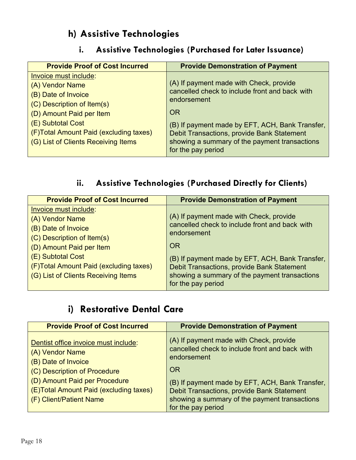#### **h) Assistive Technologies**

#### **i. Assistive Technologies (Purchased for Later Issuance)**

| <b>Provide Proof of Cost Incurred</b>  | <b>Provide Demonstration of Payment</b>         |
|----------------------------------------|-------------------------------------------------|
| Invoice must include:                  | (A) If payment made with Check, provide         |
| (A) Vendor Name                        | cancelled check to include front and back with  |
| (B) Date of Invoice                    | endorsement                                     |
| (C) Description of Item(s)             | <b>OR</b>                                       |
| (D) Amount Paid per Item               | (B) If payment made by EFT, ACH, Bank Transfer, |
| (E) Subtotal Cost                      | Debit Transactions, provide Bank Statement      |
| (F)Total Amount Paid (excluding taxes) | showing a summary of the payment transactions   |
| (G) List of Clients Receiving Items    | for the pay period                              |

#### **ii. Assistive Technologies (Purchased Directly for Clients)**

| <b>Provide Proof of Cost Incurred</b>  | <b>Provide Demonstration of Payment</b>         |
|----------------------------------------|-------------------------------------------------|
| Invoice must include:                  |                                                 |
| (A) Vendor Name                        | (A) If payment made with Check, provide         |
| (B) Date of Invoice                    | cancelled check to include front and back with  |
| (C) Description of Item(s)             | endorsement                                     |
| (D) Amount Paid per Item               | OR                                              |
| (E) Subtotal Cost                      | (B) If payment made by EFT, ACH, Bank Transfer, |
| (F)Total Amount Paid (excluding taxes) | Debit Transactions, provide Bank Statement      |
| (G) List of Clients Receiving Items    | showing a summary of the payment transactions   |
|                                        | for the pay period                              |

#### **i) Restorative Dental Care**

| <b>Provide Proof of Cost Incurred</b>                                                                                                                                                                                | <b>Provide Demonstration of Payment</b>                                                                                                                                                                                                                                                       |
|----------------------------------------------------------------------------------------------------------------------------------------------------------------------------------------------------------------------|-----------------------------------------------------------------------------------------------------------------------------------------------------------------------------------------------------------------------------------------------------------------------------------------------|
| Dentist office invoice must include:<br>(A) Vendor Name<br>(B) Date of Invoice<br>(C) Description of Procedure<br>(D) Amount Paid per Procedure<br>(E)Total Amount Paid (excluding taxes)<br>(F) Client/Patient Name | (A) If payment made with Check, provide<br>cancelled check to include front and back with<br>endorsement<br><b>OR</b><br>(B) If payment made by EFT, ACH, Bank Transfer,<br>Debit Transactions, provide Bank Statement<br>showing a summary of the payment transactions<br>for the pay period |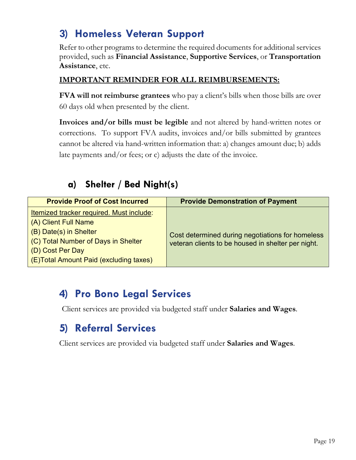### <span id="page-18-0"></span>**3) Homeless Veteran Support**

Refer to other programs to determine the required documents for additional services provided, such as **Financial Assistance**, **Supportive Services**, or **Transportation Assistance**, etc.

#### **IMPORTANT REMINDER FOR ALL REIMBURSEMENTS:**

**FVA will not reimburse grantees** who pay a client's bills when those bills are over 60 days old when presented by the client.

**Invoices and/or bills must be legible** and not altered by hand-written notes or corrections. To support FVA audits, invoices and/or bills submitted by grantees cannot be altered via hand-written information that: a) changes amount due; b) adds late payments and/or fees; or c) adjusts the date of the invoice.

#### **a) Shelter / Bed Night(s)**

| <b>Provide Proof of Cost Incurred</b>                                                                                                                                                            | <b>Provide Demonstration of Payment</b>                                                                |
|--------------------------------------------------------------------------------------------------------------------------------------------------------------------------------------------------|--------------------------------------------------------------------------------------------------------|
| Itemized tracker required. Must include:<br>(A) Client Full Name<br>(B) Date(s) in Shelter<br>(C) Total Number of Days in Shelter<br>(D) Cost Per Day<br>(E) Total Amount Paid (excluding taxes) | Cost determined during negotiations for homeless<br>veteran clients to be housed in shelter per night. |

#### **4) Pro Bono Legal Services**

Client services are provided via budgeted staff under **Salaries and Wages**.

#### **5) Referral Services**

Client services are provided via budgeted staff under **Salaries and Wages**.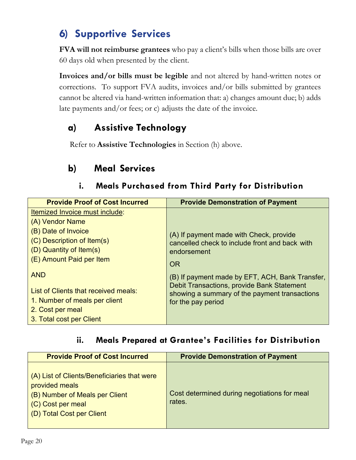### **6) Supportive Services**

**FVA will not reimburse grantees** who pay a client's bills when those bills are over 60 days old when presented by the client.

**Invoices and/or bills must be legible** and not altered by hand-written notes or corrections. To support FVA audits, invoices and/or bills submitted by grantees cannot be altered via hand-written information that: a) changes amount due; b) adds late payments and/or fees; or c) adjusts the date of the invoice.

#### **a) Assistive Technology**

Refer to **Assistive Technologies** in Section (h) above.

#### **b) Meal Services**

#### **i. Meals Purchased from Third Party for Distribution**

| <b>Provide Proof of Cost Incurred</b> | <b>Provide Demonstration of Payment</b>                                                     |
|---------------------------------------|---------------------------------------------------------------------------------------------|
| Itemized Invoice must include:        |                                                                                             |
| (A) Vendor Name                       |                                                                                             |
| (B) Date of Invoice                   | (A) If payment made with Check, provide                                                     |
| (C) Description of Item(s)            | cancelled check to include front and back with                                              |
| (D) Quantity of Item(s)               | endorsement                                                                                 |
| (E) Amount Paid per Item              | <b>OR</b>                                                                                   |
| <b>AND</b>                            | (B) If payment made by EFT, ACH, Bank Transfer,                                             |
| List of Clients that received meals:  | Debit Transactions, provide Bank Statement<br>showing a summary of the payment transactions |
| 1. Number of meals per client         | for the pay period                                                                          |
| 2. Cost per meal                      |                                                                                             |
| 3. Total cost per Client              |                                                                                             |

#### **ii. Meals Prepared at Grantee's Facilities for Distribution**

| <b>Provide Proof of Cost Incurred</b>                                                                                                             | <b>Provide Demonstration of Payment</b>                |
|---------------------------------------------------------------------------------------------------------------------------------------------------|--------------------------------------------------------|
| (A) List of Clients/Beneficiaries that were<br>provided meals<br>(B) Number of Meals per Client<br>(C) Cost per meal<br>(D) Total Cost per Client | Cost determined during negotiations for meal<br>rates. |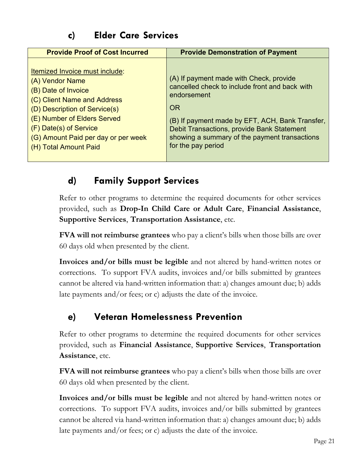#### **c) Elder Care Services**

| <b>Provide Proof of Cost Incurred</b>                                                                                                                                                                                                                             | <b>Provide Demonstration of Payment</b>                                                                                                                                                                                                                                                       |
|-------------------------------------------------------------------------------------------------------------------------------------------------------------------------------------------------------------------------------------------------------------------|-----------------------------------------------------------------------------------------------------------------------------------------------------------------------------------------------------------------------------------------------------------------------------------------------|
| Itemized Invoice must include:<br>(A) Vendor Name<br>(B) Date of Invoice<br>(C) Client Name and Address<br>(D) Description of Service(s)<br>(E) Number of Elders Served<br>(F) Date(s) of Service<br>(G) Amount Paid per day or per week<br>(H) Total Amount Paid | (A) If payment made with Check, provide<br>cancelled check to include front and back with<br>endorsement<br><b>OR</b><br>(B) If payment made by EFT, ACH, Bank Transfer,<br>Debit Transactions, provide Bank Statement<br>showing a summary of the payment transactions<br>for the pay period |

#### **d) Family Support Services**

Refer to other programs to determine the required documents for other services provided, such as **Drop-In Child Care or Adult Care**, **Financial Assistance**, **Supportive Services**, **Transportation Assistance**, etc.

**FVA will not reimburse grantees** who pay a client's bills when those bills are over 60 days old when presented by the client.

**Invoices and/or bills must be legible** and not altered by hand-written notes or corrections. To support FVA audits, invoices and/or bills submitted by grantees cannot be altered via hand-written information that: a) changes amount due; b) adds late payments and/or fees; or c) adjusts the date of the invoice.

#### **e) Veteran Homelessness Prevention**

Refer to other programs to determine the required documents for other services provided, such as **Financial Assistance**, **Supportive Services**, **Transportation Assistance**, etc.

**FVA will not reimburse grantees** who pay a client's bills when those bills are over 60 days old when presented by the client.

**Invoices and/or bills must be legible** and not altered by hand-written notes or corrections. To support FVA audits, invoices and/or bills submitted by grantees cannot be altered via hand-written information that: a) changes amount due; b) adds late payments and/or fees; or c) adjusts the date of the invoice.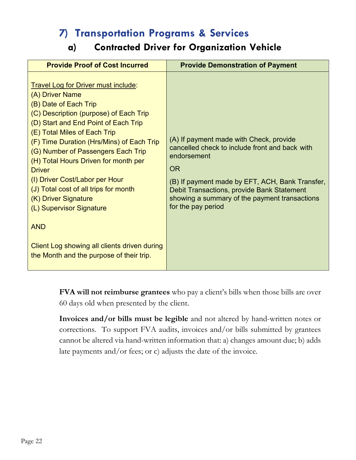#### **7) Transportation Programs & Services**

#### **a) Contracted Driver for Organization Vehicle**

<span id="page-21-0"></span>

| <b>Provide Proof of Cost Incurred</b>                                                                                                                                                                                                                                                                                                                                                                                                                                                                                                                                                         | <b>Provide Demonstration of Payment</b>                                                                                                                                                                                                                                                       |
|-----------------------------------------------------------------------------------------------------------------------------------------------------------------------------------------------------------------------------------------------------------------------------------------------------------------------------------------------------------------------------------------------------------------------------------------------------------------------------------------------------------------------------------------------------------------------------------------------|-----------------------------------------------------------------------------------------------------------------------------------------------------------------------------------------------------------------------------------------------------------------------------------------------|
| <b>Travel Log for Driver must include:</b><br>(A) Driver Name<br>(B) Date of Each Trip<br>(C) Description (purpose) of Each Trip<br>(D) Start and End Point of Each Trip<br>(E) Total Miles of Each Trip<br>(F) Time Duration (Hrs/Mins) of Each Trip<br>(G) Number of Passengers Each Trip<br>(H) Total Hours Driven for month per<br><b>Driver</b><br>(I) Driver Cost/Labor per Hour<br>(J) Total cost of all trips for month<br>(K) Driver Signature<br>(L) Supervisor Signature<br><b>AND</b><br>Client Log showing all clients driven during<br>the Month and the purpose of their trip. | (A) If payment made with Check, provide<br>cancelled check to include front and back with<br>endorsement<br><b>OR</b><br>(B) If payment made by EFT, ACH, Bank Transfer,<br>Debit Transactions, provide Bank Statement<br>showing a summary of the payment transactions<br>for the pay period |

**FVA will not reimburse grantees** who pay a client's bills when those bills are over 60 days old when presented by the client.

**Invoices and/or bills must be legible** and not altered by hand-written notes or corrections. To support FVA audits, invoices and/or bills submitted by grantees cannot be altered via hand-written information that: a) changes amount due; b) adds late payments and/or fees; or c) adjusts the date of the invoice.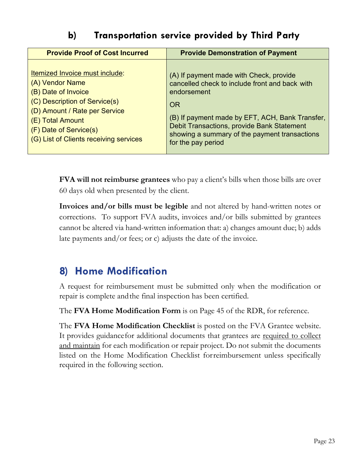#### **b) Transportation service provided by Third Party**

| <b>Provide Proof of Cost Incurred</b>  | <b>Provide Demonstration of Payment</b>         |
|----------------------------------------|-------------------------------------------------|
| Itemized Invoice must include:         | (A) If payment made with Check, provide         |
| (A) Vendor Name                        | cancelled check to include front and back with  |
| (B) Date of Invoice                    | endorsement                                     |
| (C) Description of Service(s)          | OR                                              |
| (D) Amount / Rate per Service          | (B) If payment made by EFT, ACH, Bank Transfer, |
| (E) Total Amount                       | Debit Transactions, provide Bank Statement      |
| (F) Date of Service(s)                 | showing a summary of the payment transactions   |
| (G) List of Clients receiving services | for the pay period                              |

**FVA will not reimburse grantees** who pay a client's bills when those bills are over 60 days old when presented by the client.

**Invoices and/or bills must be legible** and not altered by hand-written notes or corrections. To support FVA audits, invoices and/or bills submitted by grantees cannot be altered via hand-written information that: a) changes amount due; b) adds late payments and/or fees; or c) adjusts the date of the invoice.

#### <span id="page-22-0"></span>**8) Home Modification**

A request for reimbursement must be submitted only when the modification or repair is complete andthe final inspection has been certified.

The **FVA Home Modification Form** is on Page 45 of the RDR, for reference.

The **FVA Home Modification Checklist** is posted on the FVA Grantee website. It provides guidance for additional documents that grantees are required to collect and maintain for each modification or repair project. Do not submit the documents listed on the Home Modification Checklist forreimbursement unless specifically required in the following section.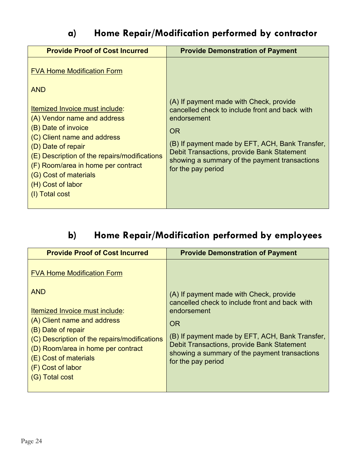#### **a) Home Repair/Modification performed by contractor**

| <b>Provide Proof of Cost Incurred</b>                                                                                                                                                                                                                                                                                                              | <b>Provide Demonstration of Payment</b>                                                                                                                                                                                                                                                       |
|----------------------------------------------------------------------------------------------------------------------------------------------------------------------------------------------------------------------------------------------------------------------------------------------------------------------------------------------------|-----------------------------------------------------------------------------------------------------------------------------------------------------------------------------------------------------------------------------------------------------------------------------------------------|
| <b>FVA Home Modification Form</b><br><b>AND</b><br>Itemized Invoice must include:<br>(A) Vendor name and address<br>(B) Date of invoice<br>(C) Client name and address<br>(D) Date of repair<br>(E) Description of the repairs/modifications<br>(F) Room/area in home per contract<br>(G) Cost of materials<br>(H) Cost of labor<br>(I) Total cost | (A) If payment made with Check, provide<br>cancelled check to include front and back with<br>endorsement<br><b>OR</b><br>(B) If payment made by EFT, ACH, Bank Transfer,<br>Debit Transactions, provide Bank Statement<br>showing a summary of the payment transactions<br>for the pay period |

#### **b) Home Repair/Modification performed by employees**

| <b>Provide Proof of Cost Incurred</b>                                                                                                                                                                                                                                                        | <b>Provide Demonstration of Payment</b>                                                                                                                                                                                                                                                       |
|----------------------------------------------------------------------------------------------------------------------------------------------------------------------------------------------------------------------------------------------------------------------------------------------|-----------------------------------------------------------------------------------------------------------------------------------------------------------------------------------------------------------------------------------------------------------------------------------------------|
| <b>FVA Home Modification Form</b><br><b>AND</b><br>Itemized Invoice must include:<br>(A) Client name and address<br>(B) Date of repair<br>(C) Description of the repairs/modifications<br>(D) Room/area in home per contract<br>(E) Cost of materials<br>(F) Cost of labor<br>(G) Total cost | (A) If payment made with Check, provide<br>cancelled check to include front and back with<br>endorsement<br><b>OR</b><br>(B) If payment made by EFT, ACH, Bank Transfer,<br>Debit Transactions, provide Bank Statement<br>showing a summary of the payment transactions<br>for the pay period |
|                                                                                                                                                                                                                                                                                              |                                                                                                                                                                                                                                                                                               |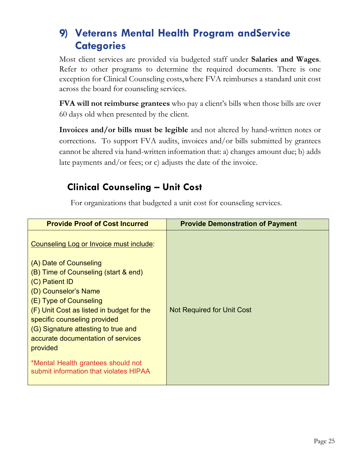### <span id="page-24-0"></span>**9) Veterans Mental Health Program andService Categories**

Most client services are provided via budgeted staff under **Salaries and Wages**. Refer to other programs to determine the required documents. There is one exception for Clinical Counseling costs,where FVA reimburses a standard unit cost across the board for counseling services.

**FVA will not reimburse grantees** who pay a client's bills when those bills are over 60 days old when presented by the client.

**Invoices and/or bills must be legible** and not altered by hand-written notes or corrections. To support FVA audits, invoices and/or bills submitted by grantees cannot be altered via hand-written information that: a) changes amount due; b) adds late payments and/or fees; or c) adjusts the date of the invoice.

#### **Clinical Counseling – Unit Cost**

For organizations that budgeted a unit cost for counseling services.

| <b>Provide Proof of Cost Incurred</b>                                        | <b>Provide Demonstration of Payment</b> |
|------------------------------------------------------------------------------|-----------------------------------------|
| Counseling Log or Invoice must include:<br>(A) Date of Counseling            |                                         |
| (B) Time of Counseling (start & end)                                         |                                         |
| (C) Patient ID                                                               |                                         |
| (D) Counselor's Name                                                         |                                         |
| (E) Type of Counseling                                                       |                                         |
| (F) Unit Cost as listed in budget for the                                    | <b>Not Required for Unit Cost</b>       |
| specific counseling provided                                                 |                                         |
| (G) Signature attesting to true and                                          |                                         |
| accurate documentation of services                                           |                                         |
| provided                                                                     |                                         |
| *Mental Health grantees should not<br>submit information that violates HIPAA |                                         |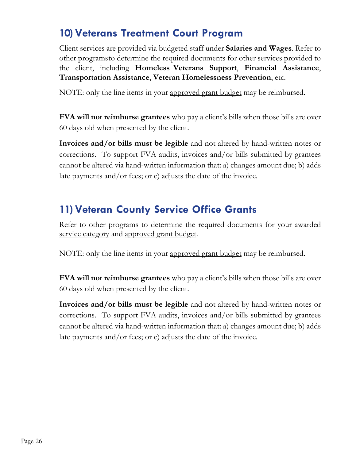#### **10)Veterans Treatment Court Program**

Client services are provided via budgeted staff under **Salaries and Wages**. Refer to other programsto determine the required documents for other services provided to the client, including **Homeless Veterans Support**, **Financial Assistance**, **Transportation Assistance**, **Veteran Homelessness Prevention**, etc.

NOTE: only the line items in your approved grant budget may be reimbursed.

**FVA will not reimburse grantees** who pay a client's bills when those bills are over 60 days old when presented by the client.

**Invoices and/or bills must be legible** and not altered by hand-written notes or corrections. To support FVA audits, invoices and/or bills submitted by grantees cannot be altered via hand-written information that: a) changes amount due; b) adds late payments and/or fees; or c) adjusts the date of the invoice.

### **11)Veteran County Service Office Grants**

Refer to other programs to determine the required documents for your awarded service category and approved grant budget.

NOTE: only the line items in your approved grant budget may be reimbursed.

**FVA will not reimburse grantees** who pay a client's bills when those bills are over 60 days old when presented by the client.

**Invoices and/or bills must be legible** and not altered by hand-written notes or corrections. To support FVA audits, invoices and/or bills submitted by grantees cannot be altered via hand-written information that: a) changes amount due; b) adds late payments and/or fees; or c) adjusts the date of the invoice.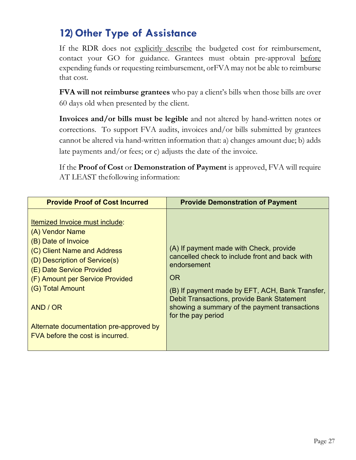#### <span id="page-26-0"></span>**12) Other Type of Assistance**

If the RDR does not explicitly describe the budgeted cost for reimbursement, contact your GO for guidance. Grantees must obtain pre-approval before expending funds or requesting reimbursement, orFVA may not be able to reimburse that cost.

**FVA will not reimburse grantees** who pay a client's bills when those bills are over 60 days old when presented by the client.

**Invoices and/or bills must be legible** and not altered by hand-written notes or corrections. To support FVA audits, invoices and/or bills submitted by grantees cannot be altered via hand-written information that: a) changes amount due; b) adds late payments and/or fees; or c) adjusts the date of the invoice.

If the **Proof of Cost** or **Demonstration of Payment** is approved, FVA will require AT LEAST thefollowing information:

| <b>Provide Proof of Cost Incurred</b>                                                                                                                                                                                                                                                                                   | <b>Provide Demonstration of Payment</b>                                                                                                                                                                                                                                                       |
|-------------------------------------------------------------------------------------------------------------------------------------------------------------------------------------------------------------------------------------------------------------------------------------------------------------------------|-----------------------------------------------------------------------------------------------------------------------------------------------------------------------------------------------------------------------------------------------------------------------------------------------|
| Itemized Invoice must include:<br>(A) Vendor Name<br>(B) Date of Invoice<br>(C) Client Name and Address<br>(D) Description of Service(s)<br>(E) Date Service Provided<br>(F) Amount per Service Provided<br>(G) Total Amount<br>AND / OR<br>Alternate documentation pre-approved by<br>FVA before the cost is incurred. | (A) If payment made with Check, provide<br>cancelled check to include front and back with<br>endorsement<br><b>OR</b><br>(B) If payment made by EFT, ACH, Bank Transfer,<br>Debit Transactions, provide Bank Statement<br>showing a summary of the payment transactions<br>for the pay period |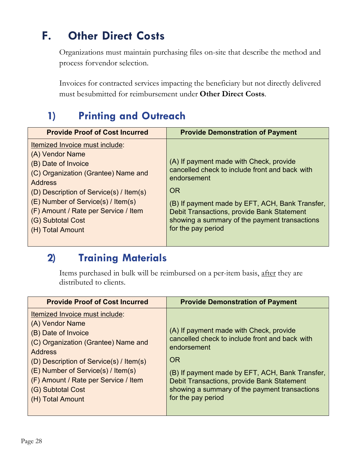### <span id="page-27-0"></span>**F. Other Direct Costs**

Organizations must maintain purchasing files on-site that describe the method and process forvendor selection.

Invoices for contracted services impacting the beneficiary but not directly delivered must besubmitted for reimbursement under **Other Direct Costs**.

### **1) Printing and Outreach**

| <b>Provide Proof of Cost Incurred</b>                                                                                                                                                                                                                                                               | <b>Provide Demonstration of Payment</b>                                                                                                                                                                                                                                                       |
|-----------------------------------------------------------------------------------------------------------------------------------------------------------------------------------------------------------------------------------------------------------------------------------------------------|-----------------------------------------------------------------------------------------------------------------------------------------------------------------------------------------------------------------------------------------------------------------------------------------------|
| Itemized Invoice must include:<br>(A) Vendor Name<br>(B) Date of Invoice<br>(C) Organization (Grantee) Name and<br><b>Address</b><br>(D) Description of Service(s) / Item(s)<br>(E) Number of Service(s) / Item(s)<br>(F) Amount / Rate per Service / Item<br>(G) Subtotal Cost<br>(H) Total Amount | (A) If payment made with Check, provide<br>cancelled check to include front and back with<br>endorsement<br><b>OR</b><br>(B) If payment made by EFT, ACH, Bank Transfer,<br>Debit Transactions, provide Bank Statement<br>showing a summary of the payment transactions<br>for the pay period |

#### **2) Training Materials**

Items purchased in bulk will be reimbursed on a per-item basis, after they are distributed to clients.

| <b>Provide Proof of Cost Incurred</b>                                                                                                                                                                                                                                                               | <b>Provide Demonstration of Payment</b>                                                                                                                                                                                                                                                       |
|-----------------------------------------------------------------------------------------------------------------------------------------------------------------------------------------------------------------------------------------------------------------------------------------------------|-----------------------------------------------------------------------------------------------------------------------------------------------------------------------------------------------------------------------------------------------------------------------------------------------|
| Itemized Invoice must include:<br>(A) Vendor Name<br>(B) Date of Invoice<br>(C) Organization (Grantee) Name and<br><b>Address</b><br>(D) Description of Service(s) / Item(s)<br>(E) Number of Service(s) / Item(s)<br>(F) Amount / Rate per Service / Item<br>(G) Subtotal Cost<br>(H) Total Amount | (A) If payment made with Check, provide<br>cancelled check to include front and back with<br>endorsement<br><b>OR</b><br>(B) If payment made by EFT, ACH, Bank Transfer,<br>Debit Transactions, provide Bank Statement<br>showing a summary of the payment transactions<br>for the pay period |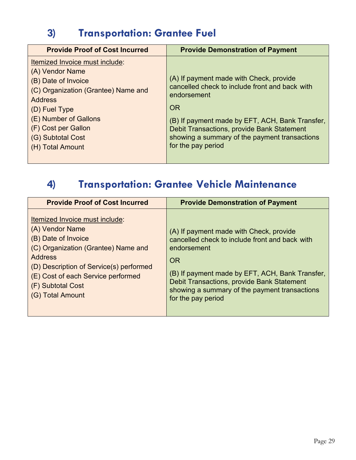### **3) Transportation: Grantee Fuel**

| <b>Provide Proof of Cost Incurred</b>                                                                                                                                                                                                         | <b>Provide Demonstration of Payment</b>                                                                                                                                                                                                                                                       |
|-----------------------------------------------------------------------------------------------------------------------------------------------------------------------------------------------------------------------------------------------|-----------------------------------------------------------------------------------------------------------------------------------------------------------------------------------------------------------------------------------------------------------------------------------------------|
| Itemized Invoice must include:<br>(A) Vendor Name<br>(B) Date of Invoice<br>(C) Organization (Grantee) Name and<br><b>Address</b><br>$(D)$ Fuel Type<br>(E) Number of Gallons<br>(F) Cost per Gallon<br>(G) Subtotal Cost<br>(H) Total Amount | (A) If payment made with Check, provide<br>cancelled check to include front and back with<br>endorsement<br><b>OR</b><br>(B) If payment made by EFT, ACH, Bank Transfer,<br>Debit Transactions, provide Bank Statement<br>showing a summary of the payment transactions<br>for the pay period |

### **4) Transportation: Grantee Vehicle Maintenance**

| <b>Provide Proof of Cost Incurred</b>                                                                                                                                                                                                                       | <b>Provide Demonstration of Payment</b>                                                                                                                                                                                                                                                       |
|-------------------------------------------------------------------------------------------------------------------------------------------------------------------------------------------------------------------------------------------------------------|-----------------------------------------------------------------------------------------------------------------------------------------------------------------------------------------------------------------------------------------------------------------------------------------------|
| Itemized Invoice must include:<br>(A) Vendor Name<br>(B) Date of Invoice<br>(C) Organization (Grantee) Name and<br><b>Address</b><br>(D) Description of Service(s) performed<br>(E) Cost of each Service performed<br>(F) Subtotal Cost<br>(G) Total Amount | (A) If payment made with Check, provide<br>cancelled check to include front and back with<br>endorsement<br><b>OR</b><br>(B) If payment made by EFT, ACH, Bank Transfer,<br>Debit Transactions, provide Bank Statement<br>showing a summary of the payment transactions<br>for the pay period |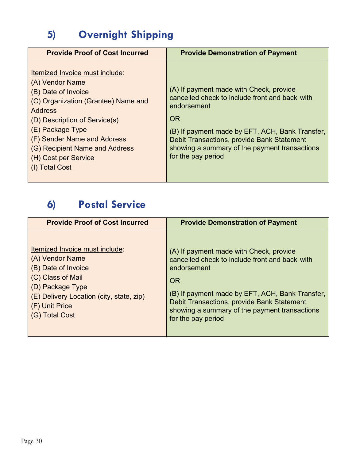### **5) Overnight Shipping**

| <b>Provide Proof of Cost Incurred</b>                                                                                                                                                                                                                                                      | <b>Provide Demonstration of Payment</b>                                                                                                                                                                                                                                                       |
|--------------------------------------------------------------------------------------------------------------------------------------------------------------------------------------------------------------------------------------------------------------------------------------------|-----------------------------------------------------------------------------------------------------------------------------------------------------------------------------------------------------------------------------------------------------------------------------------------------|
| Itemized Invoice must include:<br>(A) Vendor Name<br>(B) Date of Invoice<br>(C) Organization (Grantee) Name and<br>Address<br>(D) Description of Service(s)<br>(E) Package Type<br>(F) Sender Name and Address<br>(G) Recipient Name and Address<br>(H) Cost per Service<br>(I) Total Cost | (A) If payment made with Check, provide<br>cancelled check to include front and back with<br>endorsement<br><b>OR</b><br>(B) If payment made by EFT, ACH, Bank Transfer,<br>Debit Transactions, provide Bank Statement<br>showing a summary of the payment transactions<br>for the pay period |

### **6) Postal Service**

| <b>Provide Proof of Cost Incurred</b>    | <b>Provide Demonstration of Payment</b>         |
|------------------------------------------|-------------------------------------------------|
| Itemized Invoice must include:           | (A) If payment made with Check, provide         |
| (A) Vendor Name                          | cancelled check to include front and back with  |
| (B) Date of Invoice                      | endorsement                                     |
| (C) Class of Mail                        | <b>OR</b>                                       |
| (D) Package Type                         | (B) If payment made by EFT, ACH, Bank Transfer, |
| (E) Delivery Location (city, state, zip) | Debit Transactions, provide Bank Statement      |
| (F) Unit Price                           | showing a summary of the payment transactions   |
| (G) Total Cost                           | for the pay period                              |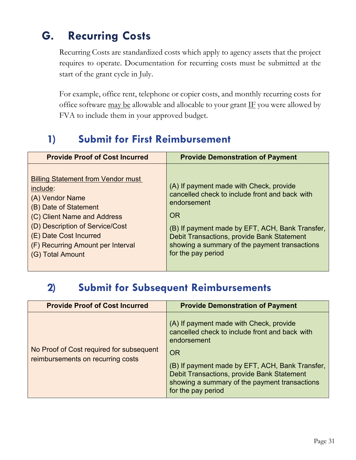### <span id="page-30-0"></span>**G. Recurring Costs**

Recurring Costs are standardized costs which apply to agency assets that the project requires to operate. Documentation for recurring costs must be submitted at the start of the grant cycle in July.

For example, office rent, telephone or copier costs, and monthly recurring costs for office software  $\frac{may}{equ}$  be allowable and allocable to your grant  $\underline{IF}$  you were allowed by FVA to include them in your approved budget.

### **1) Submit for First Reimbursement**

| <b>Provide Proof of Cost Incurred</b>                                                                                                                                                                                                                  | <b>Provide Demonstration of Payment</b>                                                                                                                                                                                                                                                |
|--------------------------------------------------------------------------------------------------------------------------------------------------------------------------------------------------------------------------------------------------------|----------------------------------------------------------------------------------------------------------------------------------------------------------------------------------------------------------------------------------------------------------------------------------------|
| <b>Billing Statement from Vendor must</b><br>include:<br>(A) Vendor Name<br>(B) Date of Statement<br>(C) Client Name and Address<br>(D) Description of Service/Cost<br>(E) Date Cost Incurred<br>(F) Recurring Amount per Interval<br>(G) Total Amount | (A) If payment made with Check, provide<br>cancelled check to include front and back with<br>endorsement<br>OR<br>(B) If payment made by EFT, ACH, Bank Transfer,<br>Debit Transactions, provide Bank Statement<br>showing a summary of the payment transactions<br>for the pay period |

#### **2) Submit for Subsequent Reimbursements**

| <b>Provide Proof of Cost Incurred</b>                                         | <b>Provide Demonstration of Payment</b>                                                                                                                                                                                                                                                       |
|-------------------------------------------------------------------------------|-----------------------------------------------------------------------------------------------------------------------------------------------------------------------------------------------------------------------------------------------------------------------------------------------|
| No Proof of Cost required for subsequent<br>reimbursements on recurring costs | (A) If payment made with Check, provide<br>cancelled check to include front and back with<br>endorsement<br><b>OR</b><br>(B) If payment made by EFT, ACH, Bank Transfer,<br>Debit Transactions, provide Bank Statement<br>showing a summary of the payment transactions<br>for the pay period |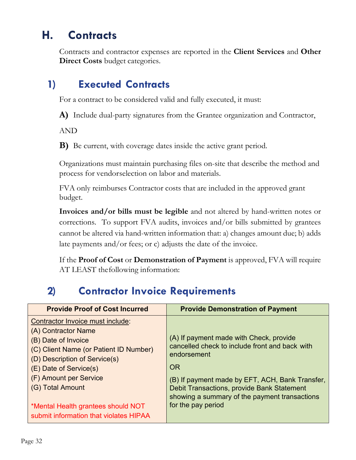### <span id="page-31-0"></span>**H. Contracts**

Contracts and contractor expenses are reported in the **Client Services** and **Other Direct Costs** budget categories.

#### **1) Executed Contracts**

For a contract to be considered valid and fully executed, it must:

**A)** Include dual-party signatures from the Grantee organization and Contractor,

AND

**B)** Be current, with coverage dates inside the active grant period.

Organizations must maintain purchasing files on-site that describe the method and process for vendorselection on labor and materials.

FVA only reimburses Contractor costs that are included in the approved grant budget.

**Invoices and/or bills must be legible** and not altered by hand-written notes or corrections. To support FVA audits, invoices and/or bills submitted by grantees cannot be altered via hand-written information that: a) changes amount due; b) adds late payments and/or fees; or c) adjusts the date of the invoice.

If the **Proof of Cost** or **Demonstration of Payment** is approved, FVA will require AT LEAST thefollowing information:

### **2) Contractor Invoice Requirements**

| <b>Provide Proof of Cost Incurred</b>                                                                                                                                                                                                                                                                             | <b>Provide Demonstration of Payment</b>                                                                                                                                                                                                                                                       |
|-------------------------------------------------------------------------------------------------------------------------------------------------------------------------------------------------------------------------------------------------------------------------------------------------------------------|-----------------------------------------------------------------------------------------------------------------------------------------------------------------------------------------------------------------------------------------------------------------------------------------------|
| Contractor Invoice must include:<br>(A) Contractor Name<br>(B) Date of Invoice<br>(C) Client Name (or Patient ID Number)<br>(D) Description of Service(s)<br>(E) Date of Service(s)<br>(F) Amount per Service<br>(G) Total Amount<br>*Mental Health grantees should NOT<br>submit information that violates HIPAA | (A) If payment made with Check, provide<br>cancelled check to include front and back with<br>endorsement<br><b>OR</b><br>(B) If payment made by EFT, ACH, Bank Transfer,<br>Debit Transactions, provide Bank Statement<br>showing a summary of the payment transactions<br>for the pay period |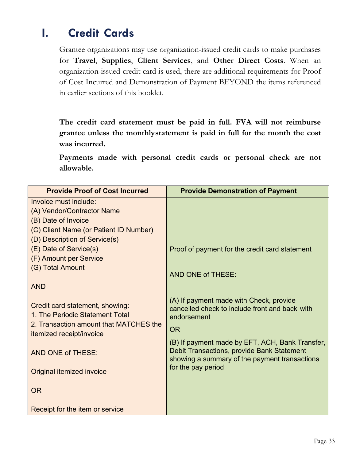### <span id="page-32-0"></span>**I. Credit Cards**

Grantee organizations may use organization-issued credit cards to make purchases for **Travel**, **Supplies**, **Client Services**, and **Other Direct Costs**. When an organization-issued credit card is used, there are additional requirements for Proof of Cost Incurred and Demonstration of Payment BEYOND the items referenced in earlier sections of this booklet.

**The credit card statement must be paid in full. FVA will not reimburse grantee unless the monthlystatement is paid in full for the month the cost was incurred.**

**Payments made with personal credit cards or personal check are not allowable.** 

| <b>Provide Proof of Cost Incurred</b>            | <b>Provide Demonstration of Payment</b>                                                       |
|--------------------------------------------------|-----------------------------------------------------------------------------------------------|
| Invoice must include:                            |                                                                                               |
| (A) Vendor/Contractor Name                       |                                                                                               |
| (B) Date of Invoice                              |                                                                                               |
| (C) Client Name (or Patient ID Number)           |                                                                                               |
| (D) Description of Service(s)                    |                                                                                               |
| (E) Date of Service(s)<br>(F) Amount per Service | Proof of payment for the credit card statement                                                |
| (G) Total Amount                                 |                                                                                               |
|                                                  | AND ONE of THESE:                                                                             |
| <b>AND</b>                                       |                                                                                               |
|                                                  |                                                                                               |
| Credit card statement, showing:                  | (A) If payment made with Check, provide<br>cancelled check to include front and back with     |
| 1. The Periodic Statement Total                  | endorsement                                                                                   |
| 2. Transaction amount that MATCHES the           | <b>OR</b>                                                                                     |
| itemized receipt/invoice                         |                                                                                               |
|                                                  | (B) If payment made by EFT, ACH, Bank Transfer,<br>Debit Transactions, provide Bank Statement |
| AND ONE of THESE:                                | showing a summary of the payment transactions                                                 |
| Original itemized invoice                        | for the pay period                                                                            |
|                                                  |                                                                                               |
| <b>OR</b>                                        |                                                                                               |
|                                                  |                                                                                               |
| Receipt for the item or service                  |                                                                                               |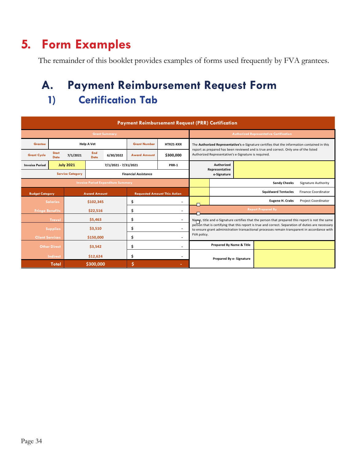### <span id="page-33-0"></span>**5. Form Examples**

The remainder of this booklet provides examples of forms used frequently by FVA grantees.

### **A. Payment Reimbursement Request Form 1) Certification Tab**

| <b>Payment Reimbursement Request (PRR) Certification</b> |                             |                         |                     |                      |                                     |                              |                                                                                                                                              |  |                                                |                                                                                                                                                                                                    |                            |
|----------------------------------------------------------|-----------------------------|-------------------------|---------------------|----------------------|-------------------------------------|------------------------------|----------------------------------------------------------------------------------------------------------------------------------------------|--|------------------------------------------------|----------------------------------------------------------------------------------------------------------------------------------------------------------------------------------------------------|----------------------------|
| <b>Grant Summary</b>                                     |                             |                         |                     |                      |                                     |                              |                                                                                                                                              |  | <b>Authorized Representative Certification</b> |                                                                                                                                                                                                    |                            |
| <b>Grantee</b>                                           |                             |                         | <b>Help A Vet</b>   |                      | <b>Grant Number</b>                 | HTX21-XXX                    | The Authorized Representative's e-Signature certifies that the information contained in this                                                 |  |                                                |                                                                                                                                                                                                    |                            |
| <b>Grant Cycle</b>                                       | <b>Start</b><br><b>Date</b> | 7/1/2021                | End<br><b>Date</b>  | 6/30/2022            | <b>Award Amount</b>                 | \$300,000                    | report as prepared has been reviewed and is true and correct. Only one of the listed<br>Authorized Representative's e-Signature is required. |  |                                                |                                                                                                                                                                                                    |                            |
| <b>Invoice Period</b>                                    |                             | <b>July 2021</b>        |                     | 7/1/2021 - 7/31/2021 |                                     | <b>PRR-1</b>                 | Authorized                                                                                                                                   |  |                                                |                                                                                                                                                                                                    |                            |
|                                                          |                             | <b>Service Category</b> |                     |                      | <b>Financial Assistance</b>         |                              | Representative<br>e-Signature                                                                                                                |  |                                                |                                                                                                                                                                                                    |                            |
| <b>Invoice Period Expenditure Summary</b>                |                             |                         |                     |                      |                                     |                              |                                                                                                                                              |  |                                                | <b>Sandy Cheeks</b>                                                                                                                                                                                | <b>Signature Authority</b> |
| <b>Budget Category</b>                                   |                             |                         | <b>Award Amount</b> |                      | <b>Requested Amount This Action</b> |                              |                                                                                                                                              |  |                                                | <b>Squidward Tentacles</b>                                                                                                                                                                         | <b>Finance Coordinator</b> |
|                                                          | <b>Salaries</b>             |                         | \$102,345           |                      | \$                                  | $\overline{\phantom{a}}$     |                                                                                                                                              |  |                                                | <b>Eugene H. Crabs</b>                                                                                                                                                                             | <b>Project Coordinator</b> |
| <b>Fringe Benefits</b>                                   |                             |                         | \$22,516            |                      | \$                                  | $\qquad \qquad \blacksquare$ |                                                                                                                                              |  |                                                | <b>Report Prepared By</b>                                                                                                                                                                          |                            |
|                                                          | Travel                      |                         | \$5,463             |                      | \$                                  | $\overline{\phantom{a}}$     |                                                                                                                                              |  |                                                | Name, title and e-Signature certifies that the person that prepared this report is not the same                                                                                                    |                            |
|                                                          | <b>Supplies</b>             |                         | \$3,510             |                      | \$                                  | $\blacksquare$               |                                                                                                                                              |  |                                                | person that is certifying that this report is true and correct. Separation of duties are necessary<br>to ensure grant administration transactional processes remain transparent in accordance with |                            |
| <b>Client Services</b>                                   |                             |                         | \$150,000           |                      | \$                                  | $\overline{a}$               | FVA policy.                                                                                                                                  |  |                                                |                                                                                                                                                                                                    |                            |
|                                                          | <b>Other Direct</b>         |                         | \$3,542             |                      | \$                                  | $\overline{\phantom{a}}$     | Prepared By Name & Title                                                                                                                     |  |                                                |                                                                                                                                                                                                    |                            |
|                                                          | Indirect                    |                         | \$12,624            |                      | \$                                  | $\overline{\phantom{a}}$     |                                                                                                                                              |  |                                                |                                                                                                                                                                                                    |                            |
|                                                          | <b>Total</b>                |                         | \$300,000           |                      | \$                                  | ٠                            | Prepared By e- Signature                                                                                                                     |  |                                                |                                                                                                                                                                                                    |                            |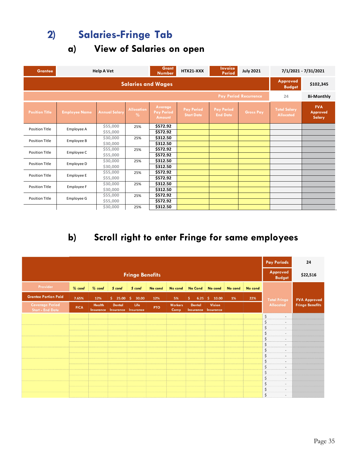### **2) Salaries-Fringe Tab**

**a) View of Salaries on open**

| <b>Grantee</b>        |                              | <b>Help A Vet</b>    |                                    | <b>Grant</b><br><b>Number</b>                 | HTX21-XXX                              | <b>Invoice</b><br>Period             | <b>July 2021</b> |                                         | 7/1/2021 - 7/31/2021             |  |  |
|-----------------------|------------------------------|----------------------|------------------------------------|-----------------------------------------------|----------------------------------------|--------------------------------------|------------------|-----------------------------------------|----------------------------------|--|--|
|                       | <b>Salaries and Wages</b>    |                      |                                    |                                               |                                        |                                      |                  |                                         |                                  |  |  |
|                       | <b>Pay Period Recurrence</b> |                      |                                    |                                               |                                        |                                      |                  |                                         |                                  |  |  |
| <b>Position Title</b> | <b>Employee Name</b>         | <b>Annual Salary</b> | <b>Allocation</b><br>$\frac{0}{0}$ | Average<br><b>Pay Period</b><br><b>Amount</b> | <b>Pay Period</b><br><b>Start Date</b> | <b>Pay Period</b><br><b>End Date</b> | <b>Gross Pay</b> | <b>Total Salary</b><br><b>Allocated</b> | <b>FVA</b><br>Approved<br>Salary |  |  |
| <b>Position Title</b> | Employee A                   | \$55,000             | 25%                                | \$572.92                                      |                                        |                                      |                  |                                         |                                  |  |  |
|                       |                              | \$55,000             |                                    | \$572.92                                      |                                        |                                      |                  |                                         |                                  |  |  |
| <b>Position Title</b> | Employee B                   | \$30,000             | 25%                                | \$312.50                                      |                                        |                                      |                  |                                         |                                  |  |  |
|                       |                              | \$30,000             |                                    | \$312.50                                      |                                        |                                      |                  |                                         |                                  |  |  |
| <b>Position Title</b> | Employee C                   | \$55,000             | 25%                                | \$572.92                                      |                                        |                                      |                  |                                         |                                  |  |  |
|                       |                              | \$55,000             |                                    | \$572.92                                      |                                        |                                      |                  |                                         |                                  |  |  |
| <b>Position Title</b> | Employee D                   | \$30,000             | 25%                                | \$312.50                                      |                                        |                                      |                  |                                         |                                  |  |  |
|                       |                              | \$30,000             |                                    | \$312.50                                      |                                        |                                      |                  |                                         |                                  |  |  |
| <b>Position Title</b> | <b>Employee E</b>            | \$55,000             | 25%                                | \$572.92                                      |                                        |                                      |                  |                                         |                                  |  |  |
|                       |                              | \$55,000             |                                    | \$572.92                                      |                                        |                                      |                  |                                         |                                  |  |  |
| <b>Position Title</b> | Employee F                   | \$30,000             | 25%                                | \$312.50                                      |                                        |                                      |                  |                                         |                                  |  |  |
|                       |                              | \$30,000             |                                    | \$312.50                                      |                                        |                                      |                  |                                         |                                  |  |  |
| <b>Position Title</b> | Employee G                   | \$55,000             | 25%                                | \$572.92                                      |                                        |                                      |                  |                                         |                                  |  |  |
|                       |                              | \$55,000             |                                    | \$572.92                                      |                                        |                                      |                  |                                         |                                  |  |  |
|                       |                              | \$30,000             | 25%                                | \$312.50                                      |                                        |                                      |                  |                                         |                                  |  |  |

#### **b) Scroll right to enter Fringe for same employees**

|                                                   |             |                                   |                                   |                          |            |                        |                                   | <b>Pay Periods</b>  | 24      |                                  |                                     |                        |
|---------------------------------------------------|-------------|-----------------------------------|-----------------------------------|--------------------------|------------|------------------------|-----------------------------------|---------------------|---------|----------------------------------|-------------------------------------|------------------------|
| <b>Fringe Benefits</b>                            |             |                                   |                                   |                          |            |                        |                                   |                     |         | <b>Approved</b><br><b>Budget</b> | \$22,516                            |                        |
| <b>Provider</b>                                   | $%$ cond    | $%$ cond                          | \$cond                            | \$cond                   | No cond    | No cond                | <b>No Cond</b>                    | No cond             | No cond | No cond                          |                                     |                        |
| <b>Grantee Portion Paid</b>                       | 7.65%       | 12%                               | \$25.00                           | \$.<br>30.00             | 12%        | 5%                     | \$.<br>6.25%                      | 10.00               | 1%      | 22%                              | <b>Total Fringe</b>                 | <b>FVA Approved</b>    |
| <b>Coverage Period</b><br><b>Start - End Date</b> | <b>FICA</b> | <b>Health</b><br><b>Insurance</b> | <b>Dental</b><br><b>Insurance</b> | Life<br><b>Insurance</b> | <b>PTO</b> | <b>Workers</b><br>Comp | <b>Dental</b><br><b>Insurance</b> | Vision<br>Insurance |         |                                  | <b>Allocated</b>                    | <b>Fringe Benefits</b> |
|                                                   |             |                                   |                                   |                          |            |                        |                                   |                     |         |                                  | $\boldsymbol{\mathsf{S}}$<br>$\sim$ |                        |
|                                                   |             |                                   |                                   |                          |            |                        |                                   |                     |         |                                  | \$<br>$\overline{\phantom{a}}$      |                        |
|                                                   |             |                                   |                                   |                          |            |                        |                                   |                     |         |                                  | \$<br>$\sim$                        |                        |
|                                                   |             |                                   |                                   |                          |            |                        |                                   |                     |         |                                  | \$<br>$\sim$<br>\$                  |                        |
|                                                   |             |                                   |                                   |                          |            |                        |                                   |                     |         |                                  | $\sim$<br>\$<br>$\sim$              |                        |
|                                                   |             |                                   |                                   |                          |            |                        |                                   |                     |         |                                  | \$<br>$\sim$                        |                        |
|                                                   |             |                                   |                                   |                          |            |                        |                                   |                     |         |                                  | \$<br>$\sim$                        |                        |
|                                                   |             |                                   |                                   |                          |            |                        |                                   |                     |         |                                  | \$<br>$\bar{a}$                     |                        |
|                                                   |             |                                   |                                   |                          |            |                        |                                   |                     |         |                                  | \$<br>$\frac{1}{2}$                 |                        |
|                                                   |             |                                   |                                   |                          |            |                        |                                   |                     |         |                                  | \$<br>$\sim$                        |                        |
|                                                   |             |                                   |                                   |                          |            |                        |                                   |                     |         |                                  | \$<br>$\sim$                        |                        |
|                                                   |             |                                   |                                   |                          |            |                        |                                   |                     |         |                                  | \$<br>$\overline{\phantom{a}}$      |                        |
|                                                   |             |                                   |                                   |                          |            |                        |                                   |                     |         |                                  | \$<br>$\overline{\phantom{a}}$      |                        |
|                                                   |             |                                   |                                   |                          |            |                        |                                   |                     |         |                                  | $\zeta$<br>$\qquad \qquad -$        |                        |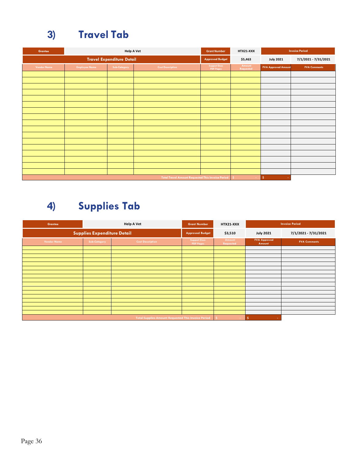### **3) Travel Tab**

| <b>Grantee</b>     |                      | <b>Help A Vet</b>                |                                                          | <b>Grant Number</b>                     | HTX21-XXX           |                            | <b>Invoice Period</b> |
|--------------------|----------------------|----------------------------------|----------------------------------------------------------|-----------------------------------------|---------------------|----------------------------|-----------------------|
|                    |                      | <b>Travel Expenditure Detail</b> | <b>Approved Budget</b>                                   | \$5,463                                 | <b>July 2021</b>    | 7/1/2021 - 7/31/2021       |                       |
| <b>Vendor Name</b> | <b>Employee Name</b> | Sub-Category                     | <b>Cost Description</b>                                  | <b>Support Docs</b><br><b>PDF Pages</b> | Amount<br>Requested | <b>FVA Approved Amount</b> | <b>FVA Comments</b>   |
|                    |                      |                                  |                                                          |                                         |                     |                            |                       |
|                    |                      |                                  |                                                          |                                         |                     |                            |                       |
|                    |                      |                                  |                                                          |                                         |                     |                            |                       |
|                    |                      |                                  |                                                          |                                         |                     |                            |                       |
|                    |                      |                                  |                                                          |                                         |                     |                            |                       |
|                    |                      |                                  |                                                          |                                         |                     |                            |                       |
|                    |                      |                                  |                                                          |                                         |                     |                            |                       |
|                    |                      |                                  |                                                          |                                         |                     |                            |                       |
|                    |                      |                                  |                                                          |                                         |                     |                            |                       |
|                    |                      |                                  |                                                          |                                         |                     |                            |                       |
|                    |                      |                                  |                                                          |                                         |                     |                            |                       |
|                    |                      |                                  |                                                          |                                         |                     |                            |                       |
|                    |                      |                                  |                                                          |                                         |                     |                            |                       |
|                    |                      |                                  |                                                          |                                         |                     |                            |                       |
|                    |                      |                                  |                                                          |                                         |                     |                            |                       |
|                    |                      |                                  |                                                          |                                         |                     |                            |                       |
|                    |                      |                                  | <b>Total Travel Amount Requested This Invoice Period</b> |                                         | Ś.                  | ١s<br><b>Contract</b>      |                       |

### **4) Supplies Tab**

| Grantee                                                    |              | <b>Help A Vet</b>       | <b>Grant Number</b>                     | HTX21-XXX           | <b>Invoice Period</b>         |                      |
|------------------------------------------------------------|--------------|-------------------------|-----------------------------------------|---------------------|-------------------------------|----------------------|
| <b>Supplies Expenditure Detail</b>                         |              |                         | <b>Approved Budget</b>                  | \$3,510             | <b>July 2021</b>              | 7/1/2021 - 7/31/2021 |
| <b>Vendor Name</b>                                         | Sub-Category | <b>Cost Description</b> | <b>Support Docs</b><br><b>PDF Pages</b> | Amount<br>Requested | <b>FVA Approved</b><br>Amount | <b>FVA Comments</b>  |
|                                                            |              |                         |                                         |                     |                               |                      |
|                                                            |              |                         |                                         |                     |                               |                      |
|                                                            |              |                         |                                         |                     |                               |                      |
|                                                            |              |                         |                                         |                     |                               |                      |
|                                                            |              |                         |                                         |                     |                               |                      |
|                                                            |              |                         |                                         |                     |                               |                      |
|                                                            |              |                         |                                         |                     |                               |                      |
|                                                            |              |                         |                                         |                     |                               |                      |
|                                                            |              |                         |                                         |                     |                               |                      |
|                                                            |              |                         |                                         |                     |                               |                      |
|                                                            |              |                         |                                         |                     |                               |                      |
|                                                            |              |                         |                                         |                     |                               |                      |
|                                                            |              |                         |                                         |                     |                               |                      |
|                                                            |              |                         |                                         |                     |                               |                      |
|                                                            |              |                         |                                         |                     |                               |                      |
|                                                            |              |                         |                                         |                     |                               |                      |
|                                                            |              |                         |                                         |                     |                               |                      |
| <b>Total Supplies Amount Requested This Invoice Period</b> |              |                         |                                         |                     | Ŝ.                            |                      |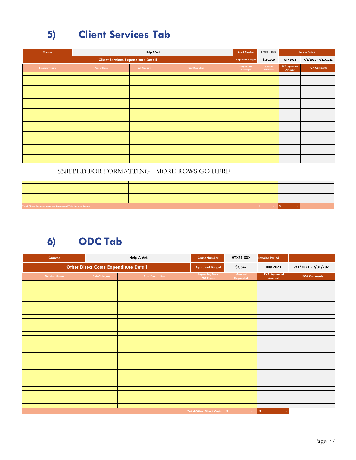### **5) Client Services Tab**

| Grantee                 | <b>Help A Vet</b>                         |              |                         | <b>Grant Number</b>                     | HTX21-XXX           |                               | <b>Invoice Period</b> |
|-------------------------|-------------------------------------------|--------------|-------------------------|-----------------------------------------|---------------------|-------------------------------|-----------------------|
|                         | <b>Client Services Expenditure Detail</b> |              |                         | <b>Approved Budget</b>                  | \$150,000           | <b>July 2021</b>              | 7/1/2021 - 7/31/2021  |
| <b>Beneficiary Name</b> | <b>Vendor Name</b>                        | Sub-Category | <b>Cost Description</b> | <b>Support Docs</b><br><b>PDF Pages</b> | Amount<br>Requested | <b>FVA Approved</b><br>Amount | <b>FVA Comments</b>   |
|                         |                                           |              |                         |                                         |                     |                               |                       |
|                         |                                           |              |                         |                                         |                     |                               |                       |
|                         |                                           |              |                         |                                         |                     |                               |                       |
|                         |                                           |              |                         |                                         |                     |                               |                       |
|                         |                                           |              |                         |                                         |                     |                               |                       |
|                         |                                           |              |                         |                                         |                     |                               |                       |
|                         |                                           |              |                         |                                         |                     |                               |                       |
|                         |                                           |              |                         |                                         |                     |                               |                       |
|                         |                                           |              |                         |                                         |                     |                               |                       |
|                         |                                           |              |                         |                                         |                     |                               |                       |
|                         |                                           |              |                         |                                         |                     |                               |                       |
|                         |                                           |              |                         |                                         |                     |                               |                       |
|                         |                                           |              |                         |                                         |                     |                               |                       |
|                         |                                           |              |                         |                                         |                     |                               |                       |
|                         |                                           |              |                         |                                         |                     |                               |                       |
|                         |                                           |              |                         |                                         |                     |                               |                       |
|                         |                                           |              |                         |                                         |                     |                               |                       |
|                         |                                           |              |                         |                                         |                     |                               |                       |
|                         |                                           |              |                         |                                         |                     |                               |                       |
|                         |                                           |              |                         |                                         |                     |                               |                       |
|                         |                                           |              |                         |                                         |                     |                               |                       |
|                         |                                           |              |                         |                                         |                     |                               |                       |
|                         |                                           |              |                         |                                         |                     |                               |                       |
|                         |                                           |              |                         |                                         |                     |                               |                       |
|                         |                                           |              |                         |                                         |                     |                               |                       |
|                         |                                           |              |                         |                                         |                     |                               |                       |

#### SNIPPED FOR FORMATTING - MORE ROWS GO HERE

| Total Client Services Amount Requested This Invoice Period |  |  |  |  |  |  |
|------------------------------------------------------------|--|--|--|--|--|--|

### **6) ODC Tab**

| <b>Grantee</b>                               | <b>Help A Vet</b> |                         | <b>Grant Number</b>                        | HTX21-XXX           | <b>Invoice Period</b>         |                     |
|----------------------------------------------|-------------------|-------------------------|--------------------------------------------|---------------------|-------------------------------|---------------------|
| <b>Other Direct Costs Expenditure Detail</b> |                   | <b>Approved Budget</b>  | \$3,542                                    | <b>July 2021</b>    | 7/1/2021 - 7/31/2021          |                     |
| <b>Vendor Name</b>                           | Sub-Category      | <b>Cost Description</b> | <b>Supporting Docs</b><br><b>PDF Pages</b> | Amount<br>Requested | <b>FVA Approved</b><br>Amount | <b>FVA Comments</b> |
|                                              |                   |                         |                                            |                     |                               |                     |
|                                              |                   |                         |                                            |                     |                               |                     |
|                                              |                   |                         |                                            |                     |                               |                     |
|                                              |                   |                         |                                            |                     |                               |                     |
|                                              |                   |                         |                                            |                     |                               |                     |
|                                              |                   |                         |                                            |                     |                               |                     |
|                                              |                   |                         |                                            |                     |                               |                     |
|                                              |                   |                         |                                            |                     |                               |                     |
|                                              |                   |                         |                                            |                     |                               |                     |
|                                              |                   |                         |                                            |                     |                               |                     |
|                                              |                   |                         |                                            |                     |                               |                     |
|                                              |                   |                         |                                            |                     |                               |                     |
|                                              |                   |                         |                                            |                     |                               |                     |
|                                              |                   |                         |                                            |                     |                               |                     |
|                                              |                   |                         |                                            |                     |                               |                     |
|                                              |                   |                         |                                            |                     |                               |                     |
|                                              |                   |                         |                                            |                     |                               |                     |
|                                              |                   |                         |                                            |                     |                               |                     |
|                                              |                   |                         |                                            |                     |                               |                     |
|                                              |                   |                         |                                            |                     |                               |                     |
|                                              |                   |                         |                                            |                     |                               |                     |
|                                              |                   |                         |                                            |                     |                               |                     |
|                                              |                   |                         |                                            |                     |                               |                     |
|                                              |                   |                         |                                            |                     |                               |                     |
|                                              |                   |                         |                                            |                     |                               |                     |
|                                              |                   |                         |                                            |                     |                               |                     |
|                                              |                   |                         |                                            |                     |                               |                     |
|                                              |                   |                         | <b>Total Other Direct Costs</b>            | Š.                  | \$<br>÷                       |                     |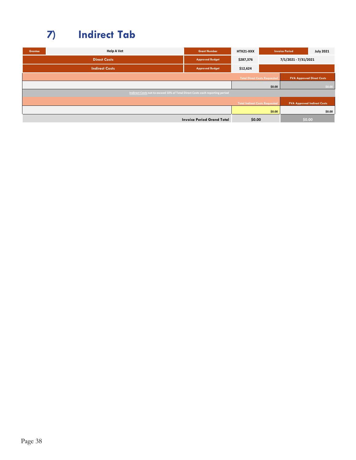### **7) Indirect Tab**

| <b>Grantee</b> | <b>Help A Vet</b>                                                            | <b>Grant Number</b>               | HTX21-XXX                             |                                     | <b>Invoice Period</b>              | <b>July 2021</b> |
|----------------|------------------------------------------------------------------------------|-----------------------------------|---------------------------------------|-------------------------------------|------------------------------------|------------------|
|                | <b>Direct Costs</b>                                                          | <b>Approved Budget</b>            | \$287,376                             |                                     | 7/1/2021 - 7/31/2021               |                  |
|                | <b>Indirect Costs</b>                                                        | <b>Approved Budget</b>            | \$12,624                              |                                     |                                    |                  |
|                |                                                                              |                                   |                                       | <b>Total Direct Costs Requested</b> | <b>FVA Approved Direct Costs</b>   |                  |
|                |                                                                              |                                   |                                       | \$0.00                              |                                    | \$0.00           |
|                | Indirect Costs not to exceed 10% of Total Direct Costs each reporting period |                                   |                                       |                                     |                                    |                  |
|                |                                                                              |                                   | <b>Total Indirect Costs Requested</b> |                                     | <b>FVA Approved Indirect Costs</b> |                  |
|                |                                                                              |                                   |                                       | \$0.00                              |                                    | \$0.00           |
|                |                                                                              | <b>Invoice Period Grand Total</b> | \$0.00                                |                                     | \$0.00                             |                  |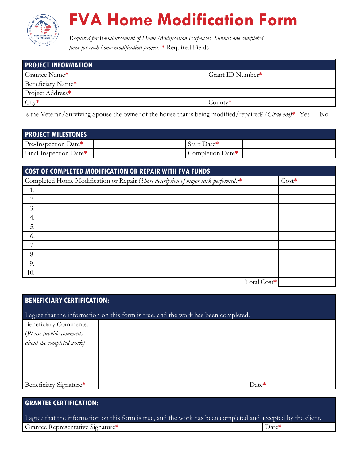

# **FVA Home Modification Form**

**B. FVA Home Modification Form** *Required for Reimbursement of Home Modification Expenses. Submit one completed form for each home modification project.* **\*** Required Fields

<span id="page-38-0"></span>

| <b>PROJECT INFORMATION</b> |                  |  |  |  |  |  |
|----------------------------|------------------|--|--|--|--|--|
| Grantee Name*              | Grant ID Number* |  |  |  |  |  |
| Beneficiary Name*          |                  |  |  |  |  |  |
| Project Address*           |                  |  |  |  |  |  |
| $City*$                    | County*          |  |  |  |  |  |

Is the Veteran/Surviving Spouse the owner of the house that is being modified/repaired? (*Circle one)***\*** Yes No

| <b>PROJECT MILESTONES</b> |                  |
|---------------------------|------------------|
| Pre-Inspection Date*      | Start Date*      |
| Final Inspection Date*    | Completion Date* |

| <b>COST OF COMPLETED MODIFICATION OR REPAIR WITH FVA FUNDS</b>                      |         |
|-------------------------------------------------------------------------------------|---------|
| Completed Home Modification or Repair (Short description of major task performed):* | $Cost*$ |
|                                                                                     |         |
| 2.                                                                                  |         |
| 3.                                                                                  |         |
| 4.                                                                                  |         |
| 5.                                                                                  |         |
| 6.                                                                                  |         |
| 7.                                                                                  |         |
| 8.                                                                                  |         |
| 9.                                                                                  |         |
| 10.                                                                                 |         |
| Total Cost*                                                                         |         |

| <b>BENEFICIARY CERTIFICATION:</b>                                                   |         |  |  |  |  |  |  |
|-------------------------------------------------------------------------------------|---------|--|--|--|--|--|--|
| I agree that the information on this form is true, and the work has been completed. |         |  |  |  |  |  |  |
| <b>Beneficiary Comments:</b>                                                        |         |  |  |  |  |  |  |
|                                                                                     |         |  |  |  |  |  |  |
| $\vert$ (Please provide comments<br>about the completed work)                       |         |  |  |  |  |  |  |
|                                                                                     |         |  |  |  |  |  |  |
|                                                                                     |         |  |  |  |  |  |  |
|                                                                                     |         |  |  |  |  |  |  |
|                                                                                     |         |  |  |  |  |  |  |
| Beneficiary Signature*                                                              | $Date*$ |  |  |  |  |  |  |

#### **GRANTEE CERTIFICATION:**

| I agree that the information on this form is true, and the work has been completed and accepted by the client. |  |                   |  |  |  |  |
|----------------------------------------------------------------------------------------------------------------|--|-------------------|--|--|--|--|
| Grantee Representative Signature*                                                                              |  | $\Delta$ Date $*$ |  |  |  |  |